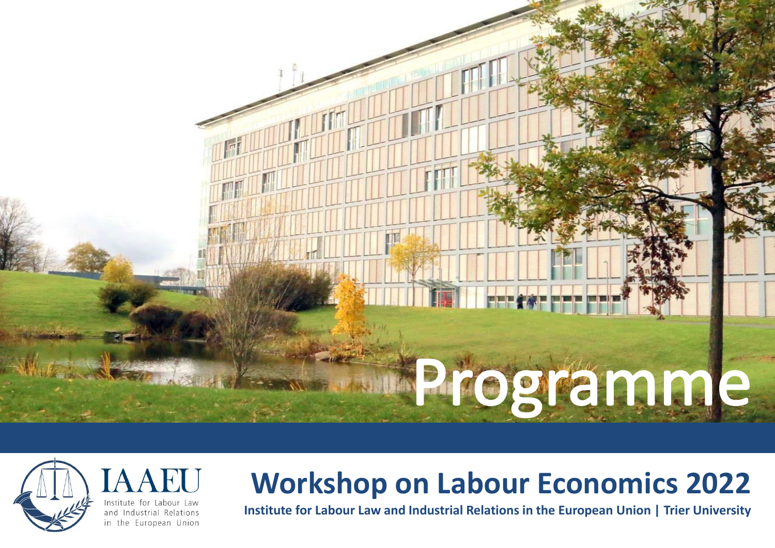



# **Workshop on Labour Economics 2022**

**Institute for Labour Law and Industrial Relations in the European Union | Trier University**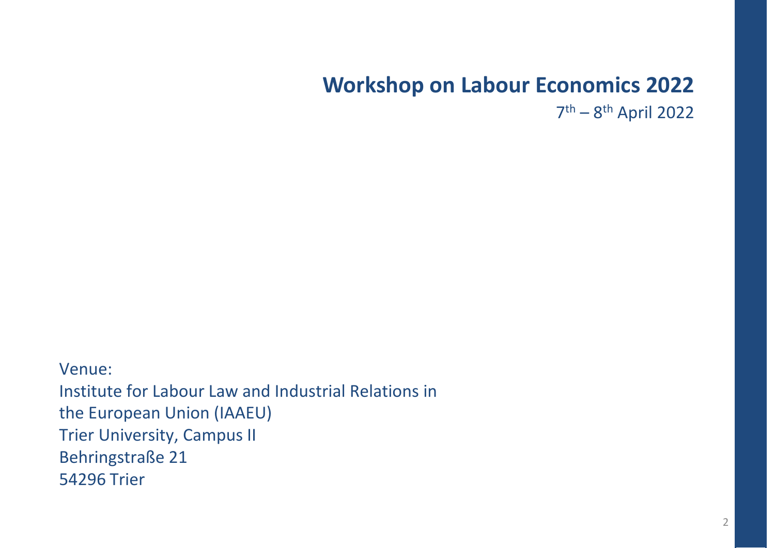# **Workshop on Labour Economics 2022**

7th – 8th April 2022

Venue: Institute for Labour Law and Industrial Relations in the European Union (IAAEU) Trier University, Campus II Behringstraße 21 54296 Trier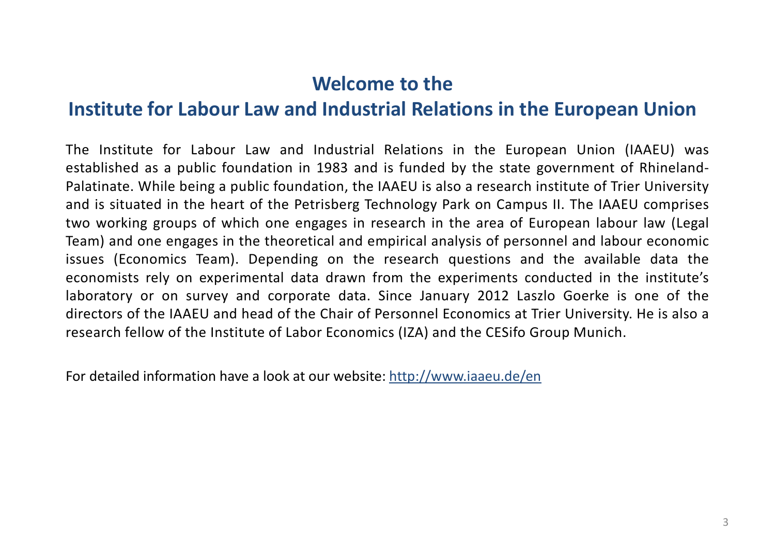### **Welcome to the**

### **Institute for Labour Law and Industrial Relations in the European Union**

The Institute for Labour Law and Industrial Relations in the European Union (IAAEU) was established as a public foundation in 1983 and is funded by the state government of Rhineland-Palatinate. While being a public foundation, the IAAEU is also a research institute of Trier University and is situated in the heart of the Petrisberg Technology Park on Campus II. The IAAEU comprises two working groups of which one engages in research in the area of European labour law (Legal Team) and one engages in the theoretical and empirical analysis of personnel and labour economic issues (Economics Team). Depending on the research questions and the available data the economists rely on experimental data drawn from the experiments conducted in the institute's laboratory or on survey and corporate data. Since January 2012 Laszlo Goerke is one of the directors of the IAAEU and head of the Chair of Personnel Economics at Trier University. He is also a research fellow of the Institute of Labor Economics (IZA) and the CESifo Group Munich.

For detailed information have a look at our website: <http://www.iaaeu.de/en>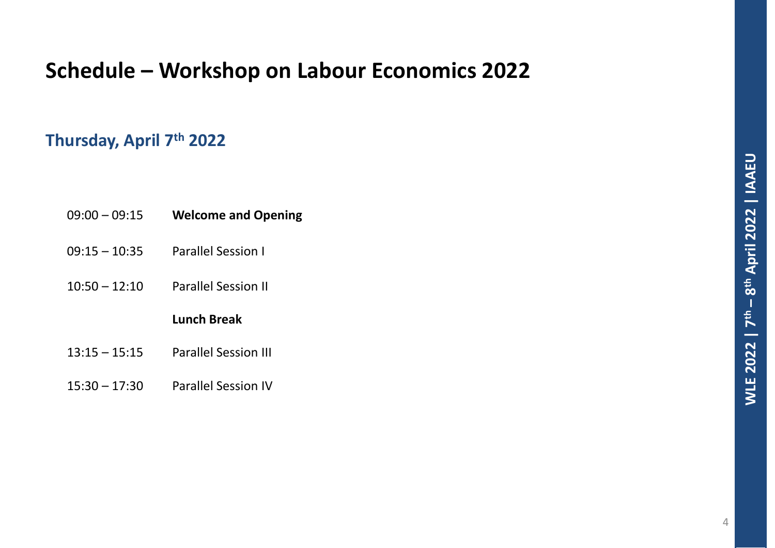# **Schedule – Workshop on Labour Economics 2022**

### **Thursday, April 7th 2022**

| 09:00 - 09:15 | <b>Welcome and Opening</b> |
|---------------|----------------------------|
|---------------|----------------------------|

- 09:15 10:35 Parallel Session I
- 10:50 12:10 Parallel Session II

### **Lunch Break**

- 13:15 15:15 Parallel Session III
- 15:30 17:30 Parallel Session IV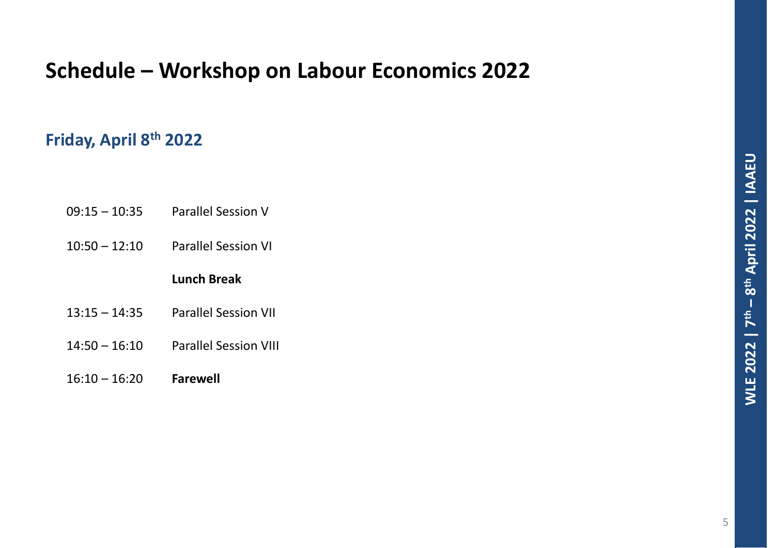# **Schedule – Workshop on Labour Economics 2022**

### **Friday, April 8th 2022**

| $09:15 - 10:35$ | <b>Parallel Session V</b> |
|-----------------|---------------------------|
|-----------------|---------------------------|

10:50 – 12:10 Parallel Session VI

### **Lunch Break**

- 13:15 14:35 Parallel Session VII
- 14:50 16:10 Parallel Session VIII
- 16:10 16:20 **Farewell**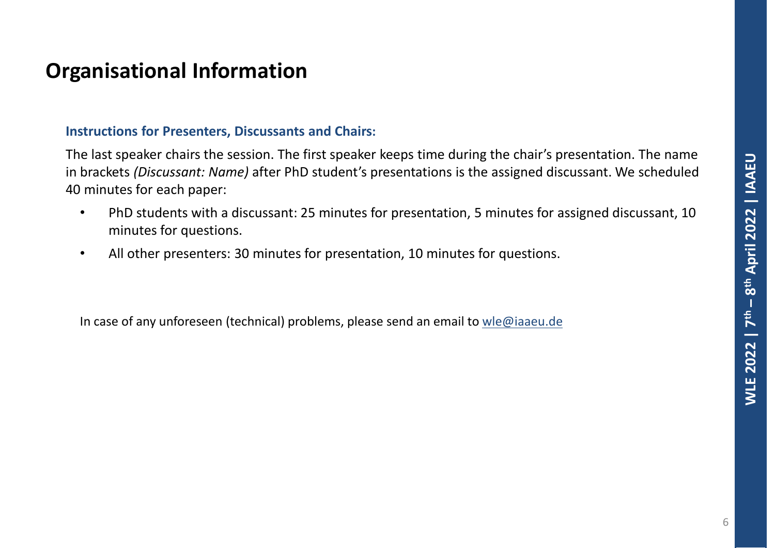### **Organisational Information**

### **Instructions for Presenters, Discussants and Chairs:**

The last speaker chairs the session. The first speaker keeps time during the chair's presentation. The name in brackets *(Discussant: Name)* after PhD student's presentations is the assigned discussant. We scheduled 40 minutes for each paper:

- PhD students with a discussant: 25 minutes for presentation, 5 minutes for assigned discussant, 10 minutes for questions.
- All other presenters: 30 minutes for presentation, 10 minutes for questions.

In case of any unforeseen (technical) problems, please send an email to [wle@iaaeu.de](mailto:wle@iaaeu.de)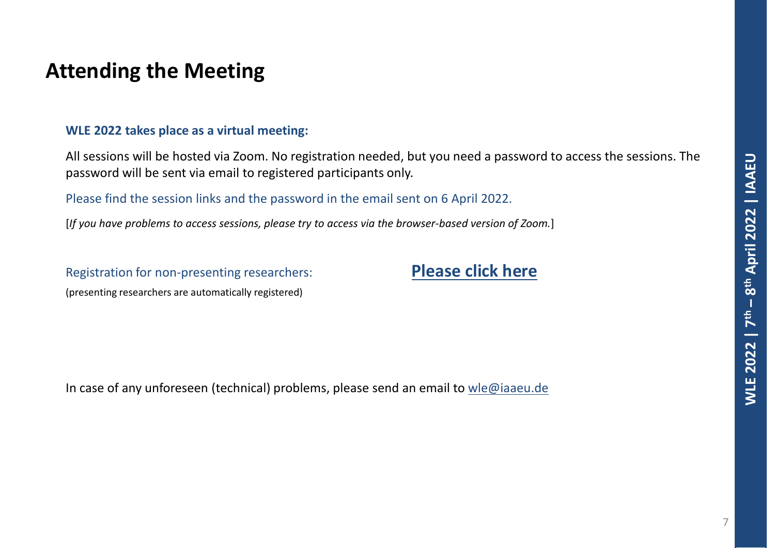### **Attending the Meeting**

#### **WLE 2022 takes place as a virtual meeting:**

All sessions will be hosted via Zoom. No registration needed, but you need a password to access the sessions. The password will be sent via email to registered participants only.

Please find the session links and the password in the email sent on 6 April 2022.

[*If you have problems to access sessions, please try to access via the browser-based version of Zoom.*]

Registration for non-presenting researchers: **[Please click here](https://docs.google.com/forms/d/e/1FAIpQLSeimDAs3OlS4y1uGU4jY8kfUoTXFcbcPA8c4xSNILWIemqXtg/viewform)** (presenting researchers are automatically registered)

In case of any unforeseen (technical) problems, please send an email to [wle@iaaeu.de](mailto:wle@iaaeu.de)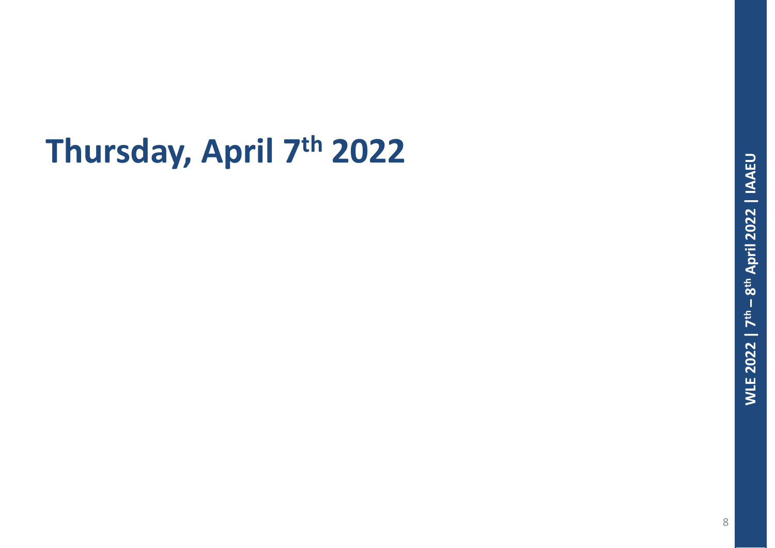# **Thursday, April 7th 2022**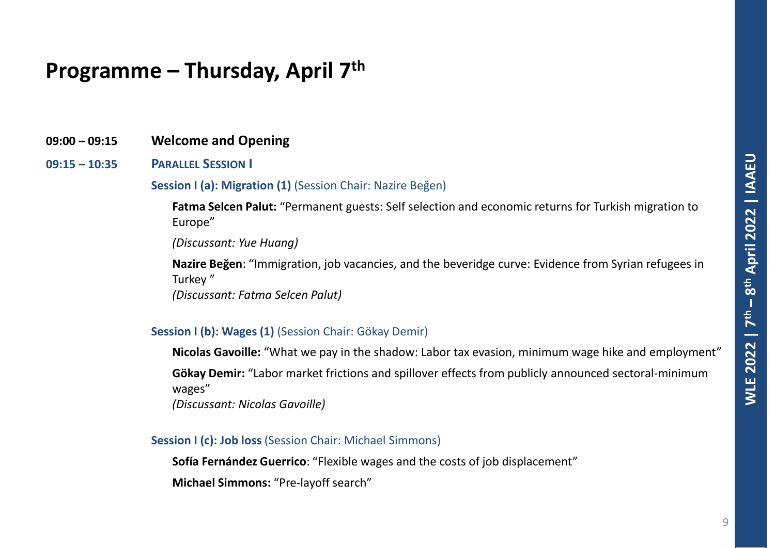### **09:00 – 09:15 Welcome and Opening**

#### **09:15 – 10:35 PARALLEL SESSION I**

#### **Session I (a): Migration (1)** (Session Chair: Nazire Beğen)

**Fatma Selcen Palut:** "Permanent guests: Self selection and economic returns for Turkish migration to Europe"

*(Discussant: Yue Huang)*

**Nazire Beğen**: "Immigration, job vacancies, and the beveridge curve: Evidence from Syrian refugees in Turkey "

*(Discussant: Fatma Selcen Palut)*

#### **Session I (b): Wages (1)** (Session Chair: Gökay Demir)

**Nicolas Gavoille:** "What we pay in the shadow: Labor tax evasion, minimum wage hike and employment"

**Gökay Demir:** "Labor market frictions and spillover effects from publicly announced sectoral-minimum wages"

*(Discussant: Nicolas Gavoille)*

#### **Session I (c): Job loss** (Session Chair: Michael Simmons)

**Sofía Fernández Guerrico**: "Flexible wages and the costs of job displacement"

**Michael Simmons:** "Pre-layoff search"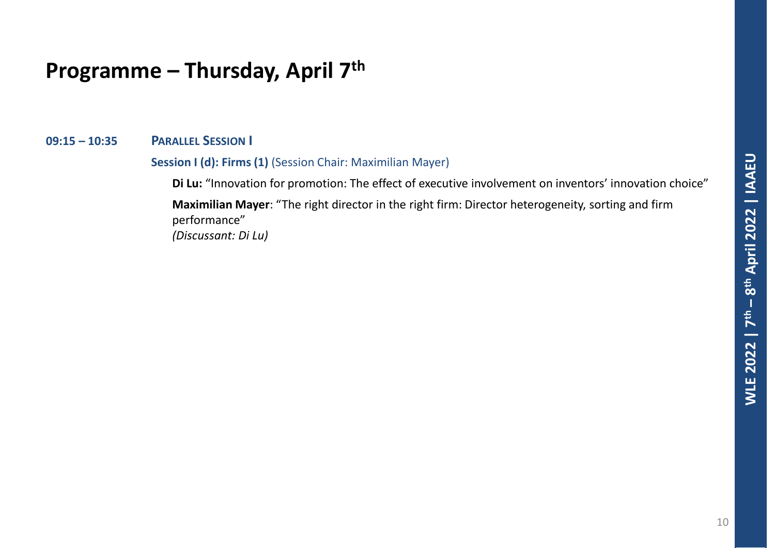### **09:15 – 10:35 PARALLEL SESSION I**

#### **Session I (d): Firms (1)** (Session Chair: Maximilian Mayer)

**Di Lu:** "Innovation for promotion: The effect of executive involvement on inventors' innovation choice" **Maximilian Mayer**: "The right director in the right firm: Director heterogeneity, sorting and firm performance"

*(Discussant: Di Lu)*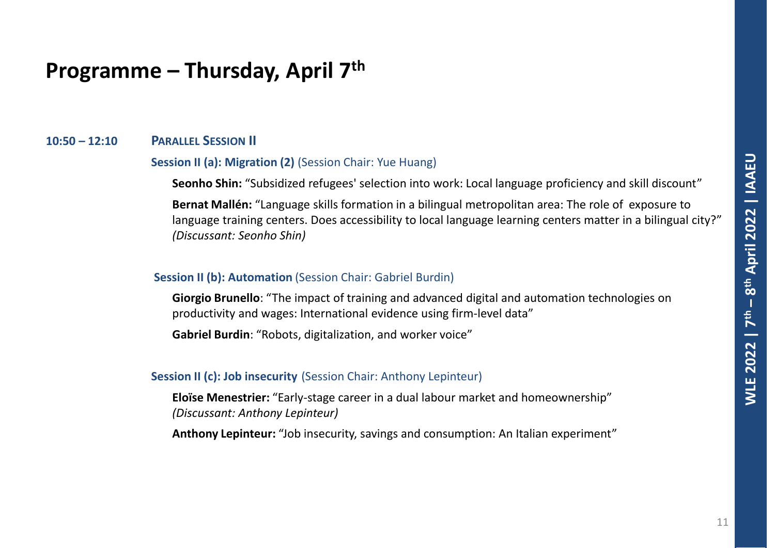#### **10:50 – 12:10 PARALLEL SESSION II**

#### **Session II (a): Migration (2)** (Session Chair: Yue Huang)

**Seonho Shin:** "Subsidized refugees' selection into work: Local language proficiency and skill discount"

**Bernat Mallén:** "Language skills formation in a bilingual metropolitan area: The role of exposure to language training centers. Does accessibility to local language learning centers matter in a bilingual city?" *(Discussant: Seonho Shin)*

#### **Session II (b): Automation** *(Session Chair: Gabriel Burdin)*

**Giorgio Brunello**: "The impact of training and advanced digital and automation technologies on productivity and wages: International evidence using firm-level data"

**Gabriel Burdin**: "Robots, digitalization, and worker voice"

#### **Session II (c): Job insecurity** (Session Chair: Anthony Lepinteur)

**Eloïse Menestrier:** "Early-stage career in a dual labour market and homeownership" *(Discussant: Anthony Lepinteur)*

**Anthony Lepinteur:** "Job insecurity, savings and consumption: An Italian experiment"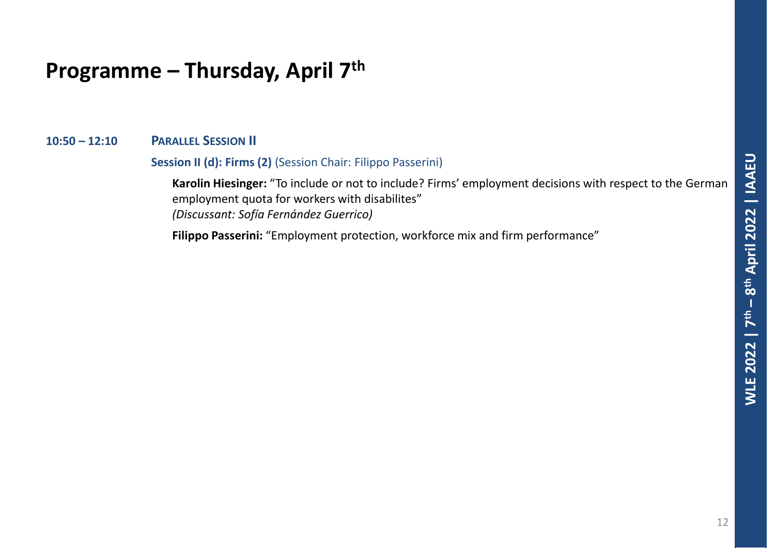#### **10:50 – 12:10 PARALLEL SESSION II**

#### **Session II (d): Firms (2)** (Session Chair: Filippo Passerini)

**Karolin Hiesinger:** "To include or not to include? Firms' employment decisions with respect to the German employment quota for workers with disabilites" *(Discussant: Sofía Fernández Guerrico)*

**Filippo Passerini:** "Employment protection, workforce mix and firm performance"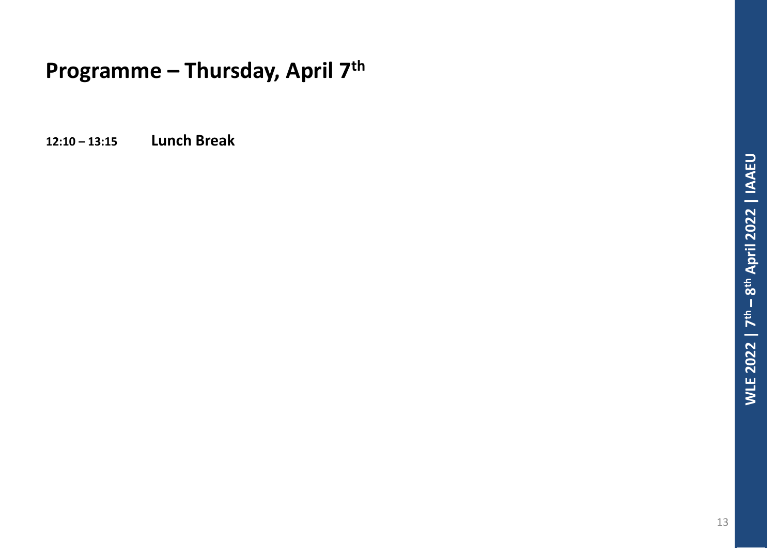**12:10 – 13:15 Lunch Break**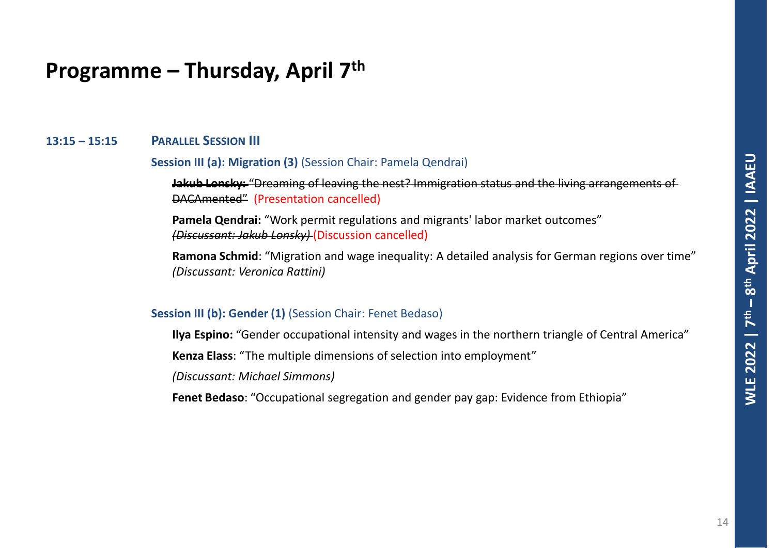#### **13:15 – 15:15 PARALLEL SESSION III**

#### **Session III (a): Migration (3)** (Session Chair: Pamela Qendrai)

**Jakub Lonsky:** "Dreaming of leaving the nest? Immigration status and the living arrangements of DACAmented" (Presentation cancelled)

**Pamela Qendrai:** "Work permit regulations and migrants' labor market outcomes" *(Discussant: Jakub Lonsky)* (Discussion cancelled)

**Ramona Schmid**: "Migration and wage inequality: A detailed analysis for German regions over time" *(Discussant: Veronica Rattini)*

#### **Session III (b): Gender (1)** (Session Chair: Fenet Bedaso)

**Ilya Espino:** "Gender occupational intensity and wages in the northern triangle of Central America"

**Kenza Elass**: "The multiple dimensions of selection into employment"

*(Discussant: Michael Simmons)*

**Fenet Bedaso**: "Occupational segregation and gender pay gap: Evidence from Ethiopia"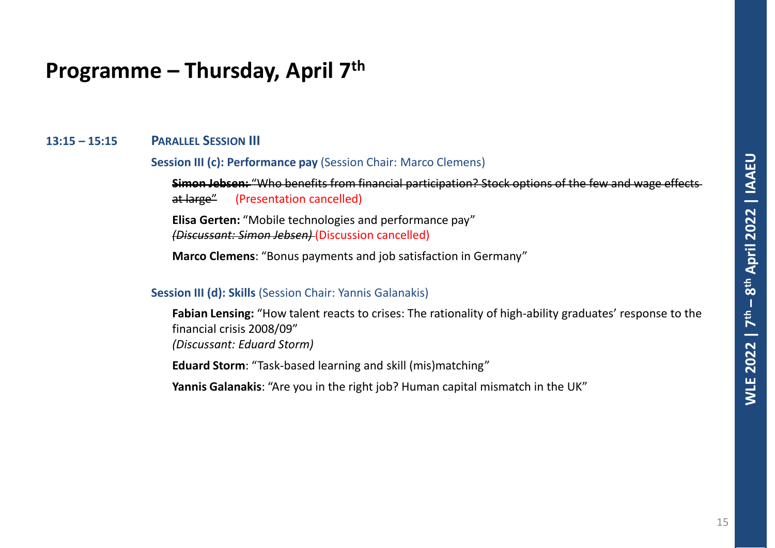#### **13:15 – 15:15 PARALLEL SESSION III**

#### **Session III (c): Performance pay** (Session Chair: Marco Clemens)

**Simon Jebsen:** "Who benefits from financial participation? Stock options of the few and wage effects at large" (Presentation cancelled)

**Elisa Gerten:** "Mobile technologies and performance pay" *(Discussant: Simon Jebsen)* (Discussion cancelled)

**Marco Clemens**: "Bonus payments and job satisfaction in Germany"

#### **Session III (d): Skills** (Session Chair: Yannis Galanakis)

**Fabian Lensing:** "How talent reacts to crises: The rationality of high-ability graduates' response to the financial crisis 2008/09" *(Discussant: Eduard Storm)*

**Eduard Storm**: "Task-based learning and skill (mis)matching"

**Yannis Galanakis**: "Are you in the right job? Human capital mismatch in the UK"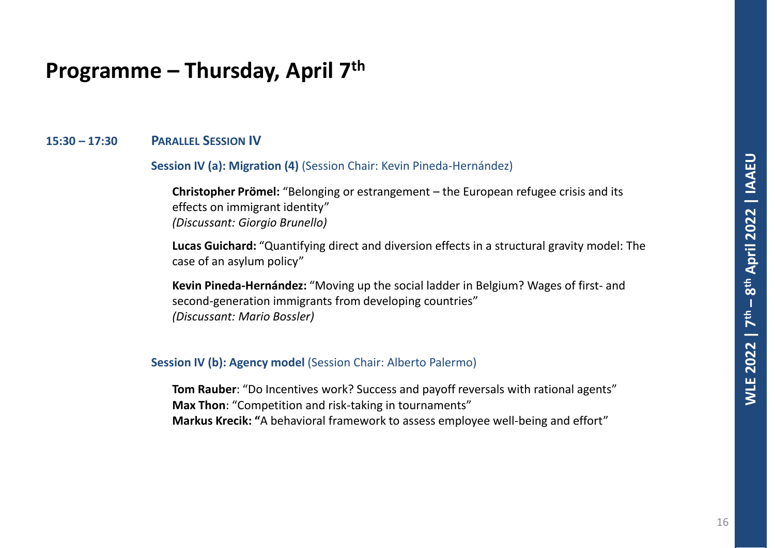### **15:30 – 17:30 PARALLEL SESSION IV**

**Session IV (a): Migration (4)** (Session Chair: Kevin Pineda-Hernández)

**Christopher Prömel:** "Belonging or estrangement – the European refugee crisis and its effects on immigrant identity" *(Discussant: Giorgio Brunello)*

**Lucas Guichard:** "Quantifying direct and diversion effects in a structural gravity model: The case of an asylum policy"

**Kevin Pineda-Hernández:** "Moving up the social ladder in Belgium? Wages of first- and second-generation immigrants from developing countries" *(Discussant: Mario Bossler)*

#### **Session IV (b): Agency model** (Session Chair: Alberto Palermo)

**Tom Rauber**: "Do Incentives work? Success and payoff reversals with rational agents" **Max Thon**: "Competition and risk-taking in tournaments" **Markus Krecik: "**A behavioral framework to assess employee well-being and effort"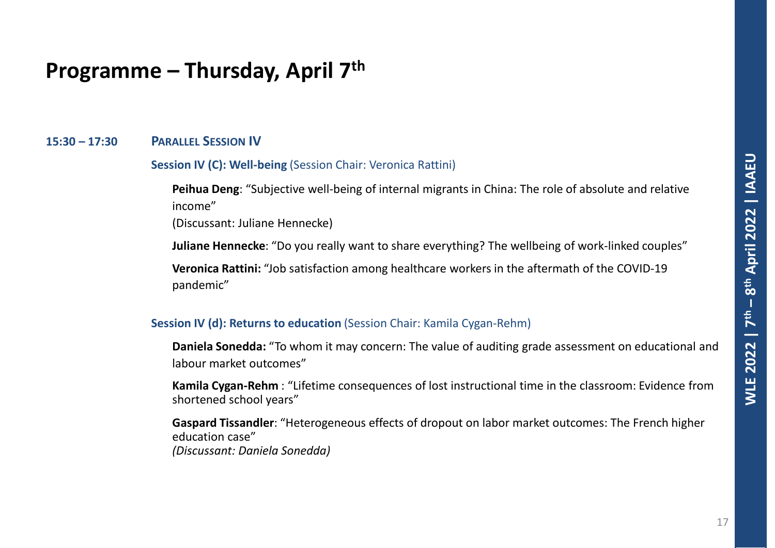#### **15:30 – 17:30 PARALLEL SESSION IV**

#### **Session IV (C): Well-being** (Session Chair: Veronica Rattini)

**Peihua Deng**: "Subjective well-being of internal migrants in China: The role of absolute and relative income"

(Discussant: Juliane Hennecke)

**Juliane Hennecke**: "Do you really want to share everything? The wellbeing of work-linked couples"

**Veronica Rattini:** "Job satisfaction among healthcare workers in the aftermath of the COVID-19 pandemic"

#### **Session IV (d): Returns to education** *(Session Chair: Kamila Cygan-Rehm)*

**Daniela Sonedda:** "To whom it may concern: The value of auditing grade assessment on educational and labour market outcomes"

**Kamila Cygan-Rehm** : "Lifetime consequences of lost instructional time in the classroom: Evidence from shortened school years"

**Gaspard Tissandler**: "Heterogeneous effects of dropout on labor market outcomes: The French higher education case" *(Discussant: Daniela Sonedda)*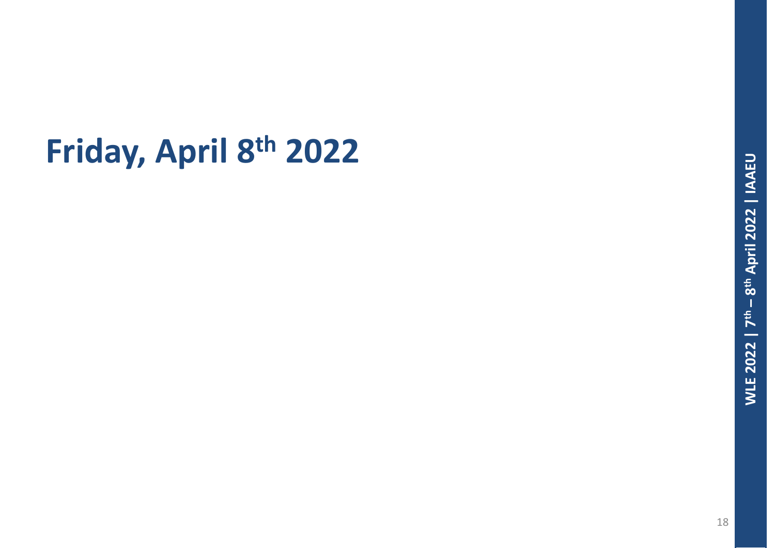# **Friday, April 8th 2022**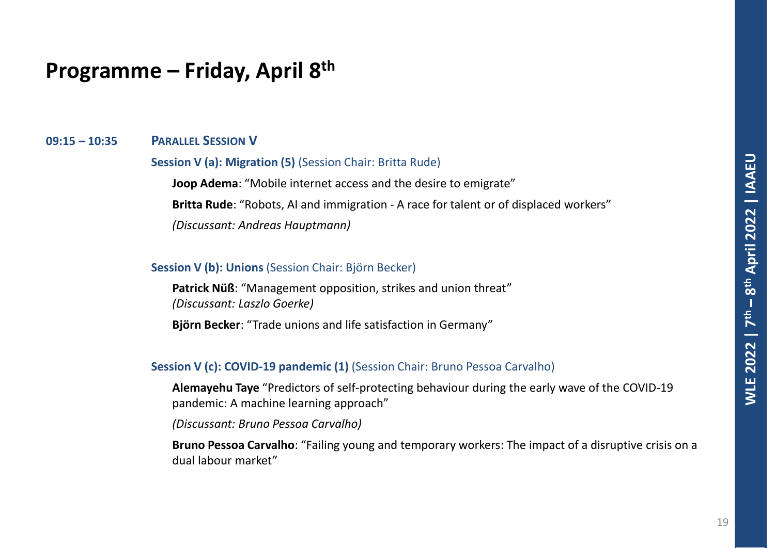#### **09:15 – 10:35 PARALLEL SESSION V**

#### **Session V (a): Migration (5)** (Session Chair: Britta Rude)

**Joop Adema**: "Mobile internet access and the desire to emigrate" **Britta Rude**: "Robots, AI and immigration - A race for talent or of displaced workers" *(Discussant: Andreas Hauptmann)*

#### **Session V (b): Unions** (Session Chair: Björn Becker)

**Patrick Nüß**: "Management opposition, strikes and union threat" *(Discussant: Laszlo Goerke)*

**Björn Becker**: "Trade unions and life satisfaction in Germany"

#### **Session V (c): COVID-19 pandemic (1)** (Session Chair: Bruno Pessoa Carvalho)

**Alemayehu Taye** "Predictors of self-protecting behaviour during the early wave of the COVID-19 pandemic: A machine learning approach"

*(Discussant: Bruno Pessoa Carvalho)*

**Bruno Pessoa Carvalho**: "Failing young and temporary workers: The impact of a disruptive crisis on a dual labour market"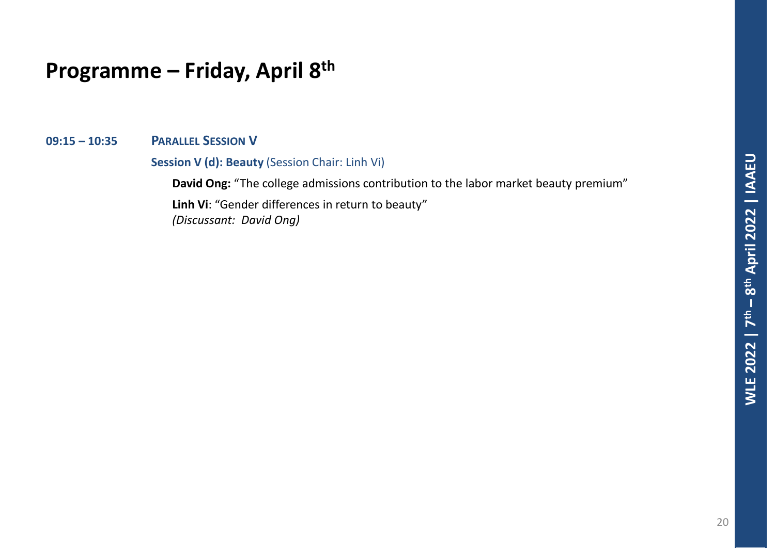**09:15 – 10:35 PARALLEL SESSION V**

**Session V (d): Beauty** (Session Chair: Linh Vi)

**David Ong:** "The college admissions contribution to the labor market beauty premium"

**Linh Vi**: "Gender differences in return to beauty" *(Discussant: David Ong)*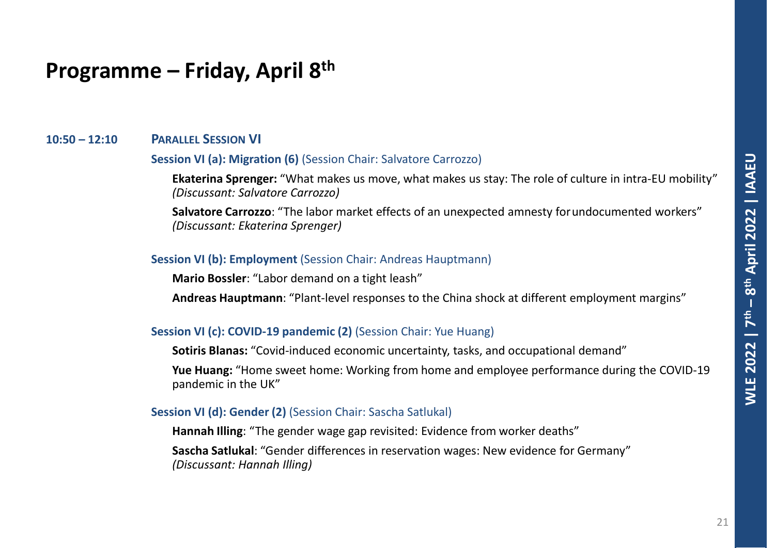#### **10:50 – 12:10 PARALLEL SESSION VI**

#### **Session VI (a): Migration (6)** (Session Chair: Salvatore Carrozzo)

**Ekaterina Sprenger:** "What makes us move, what makes us stay: The role of culture in intra-EU mobility" *(Discussant: Salvatore Carrozzo)*

**Salvatore Carrozzo**: "The labor market effects of an unexpected amnesty forundocumented workers" *(Discussant: Ekaterina Sprenger)*

#### **Session VI (b): Employment** (Session Chair: Andreas Hauptmann)

**Mario Bossler**: "Labor demand on a tight leash"

**Andreas Hauptmann**: "Plant-level responses to the China shock at different employment margins"

#### **Session VI (c): COVID-19 pandemic (2)** (Session Chair: Yue Huang)

**Sotiris Blanas:** "Covid-induced economic uncertainty, tasks, and occupational demand"

**Yue Huang:** "Home sweet home: Working from home and employee performance during the COVID-19 pandemic in the UK"

#### **Session VI (d): Gender (2)** (Session Chair: Sascha Satlukal)

**Hannah Illing**: "The gender wage gap revisited: Evidence from worker deaths"

**Sascha Satlukal**: "Gender differences in reservation wages: New evidence for Germany" *(Discussant: Hannah Illing)*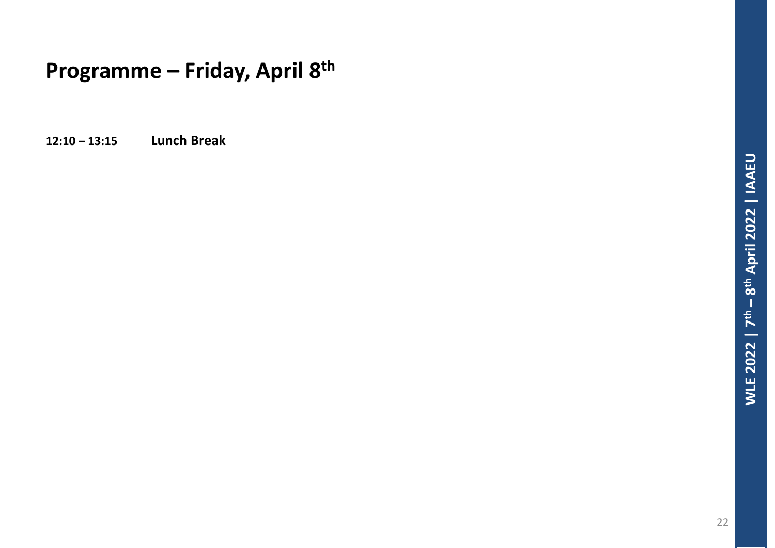**12:10 – 13:15 Lunch Break**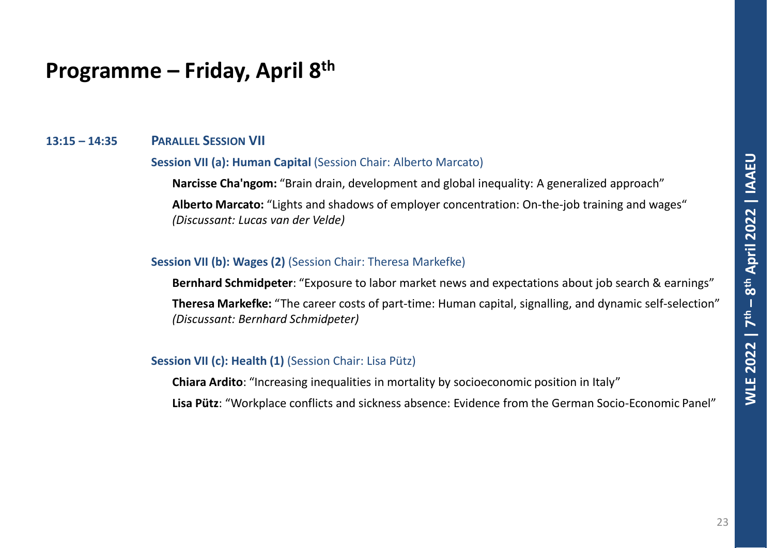#### **13:15 – 14:35 PARALLEL SESSION VII**

#### **Session VII (a): Human Capital** (Session Chair: Alberto Marcato)

**Narcisse Cha'ngom:** "Brain drain, development and global inequality: A generalized approach"

**Alberto Marcato:** "Lights and shadows of employer concentration: On-the-job training and wages" *(Discussant: Lucas van der Velde)*

#### **Session VII (b): Wages (2)** (Session Chair: Theresa Markefke)

**Bernhard Schmidpeter**: "Exposure to labor market news and expectations about job search & earnings"

**Theresa Markefke:** "The career costs of part-time: Human capital, signalling, and dynamic self-selection" *(Discussant: Bernhard Schmidpeter)*

#### **Session VII (c): Health (1)** (Session Chair: Lisa Pütz)

**Chiara Ardito**: "Increasing inequalities in mortality by socioeconomic position in Italy"

**Lisa Pütz**: "Workplace conflicts and sickness absence: Evidence from the German Socio-Economic Panel"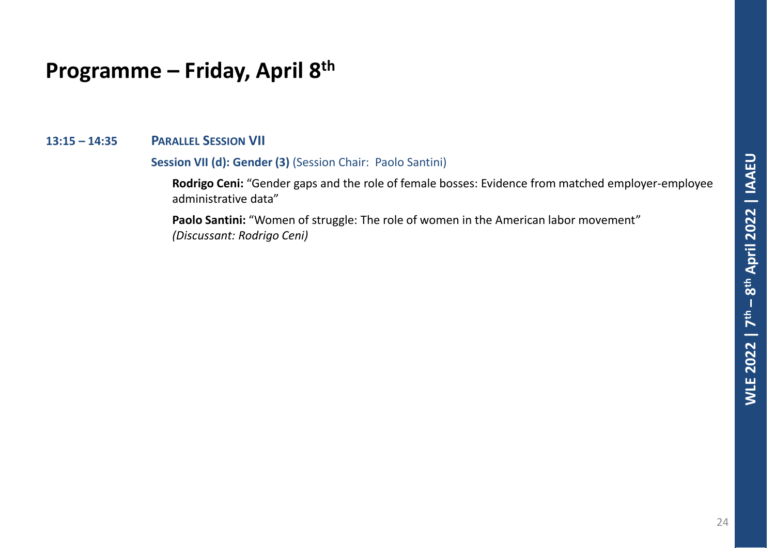#### **13:15 – 14:35 PARALLEL SESSION VII**

#### **Session VII (d): Gender (3)** (Session Chair: Paolo Santini)

**Rodrigo Ceni:** "Gender gaps and the role of female bosses: Evidence from matched employer-employee administrative data"

Paolo Santini: "Women of struggle: The role of women in the American labor movement" *(Discussant: Rodrigo Ceni)*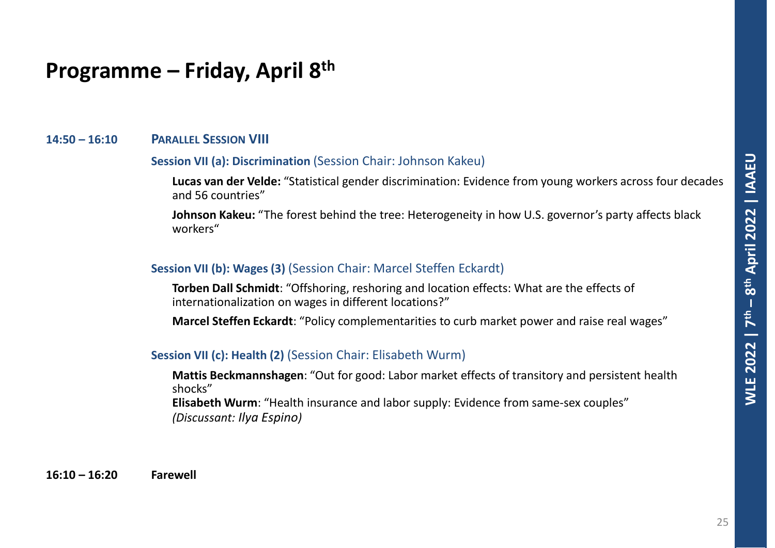#### **14:50 – 16:10 PARALLEL SESSION VIII**

#### **Session VII (a): Discrimination** (Session Chair: Johnson Kakeu)

**Lucas van der Velde:** "Statistical gender discrimination: Evidence from young workers across four decades and 56 countries"

**Johnson Kakeu:** "The forest behind the tree: Heterogeneity in how U.S. governor's party affects black workers"

#### **Session VII (b): Wages (3)** (Session Chair: Marcel Steffen Eckardt)

**Torben Dall Schmidt**: "Offshoring, reshoring and location effects: What are the effects of internationalization on wages in different locations?"

**Marcel Steffen Eckardt**: "Policy complementarities to curb market power and raise real wages"

#### **Session VII (c): Health (2)** (Session Chair: Elisabeth Wurm)

**Mattis Beckmannshagen**: "Out for good: Labor market effects of transitory and persistent health shocks" **Elisabeth Wurm**: "Health insurance and labor supply: Evidence from same-sex couples" *(Discussant: Ilya Espino)*

**16:10 – 16:20 Farewell**

25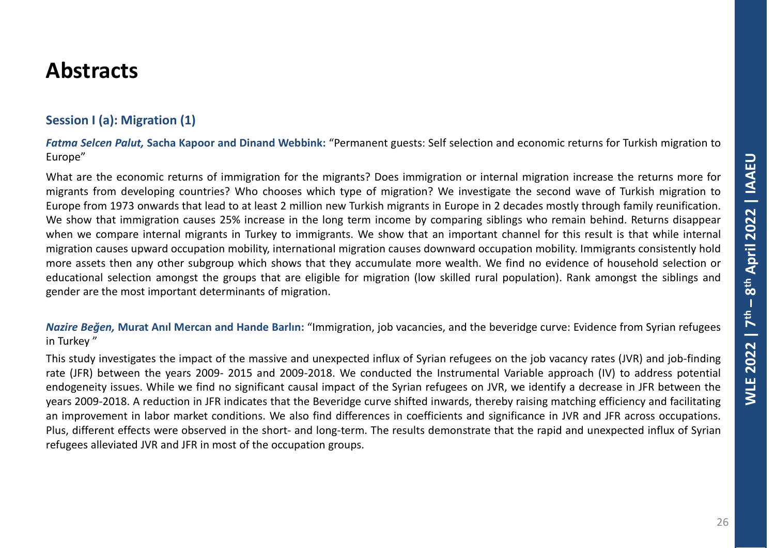### **Session I (a): Migration (1)**

*Fatma Selcen Palut,* **Sacha Kapoor and Dinand Webbink:** "Permanent guests: Self selection and economic returns for Turkish migration to Europe"

What are the economic returns of immigration for the migrants? Does immigration or internal migration increase the returns more for migrants from developing countries? Who chooses which type of migration? We investigate the second wave of Turkish migration to Europe from 1973 onwards that lead to at least 2 million new Turkish migrants in Europe in 2 decades mostly through family reunification. We show that immigration causes 25% increase in the long term income by comparing siblings who remain behind. Returns disappear when we compare internal migrants in Turkey to immigrants. We show that an important channel for this result is that while internal migration causes upward occupation mobility, international migration causes downward occupation mobility. Immigrants consistently hold more assets then any other subgroup which shows that they accumulate more wealth. We find no evidence of household selection or educational selection amongst the groups that are eligible for migration (low skilled rural population). Rank amongst the siblings and gender are the most important determinants of migration.

*Nazire Beğen,* **Murat Anıl Mercan and Hande Barlın:** "Immigration, job vacancies, and the beveridge curve: Evidence from Syrian refugees in Turkey "

This study investigates the impact of the massive and unexpected influx of Syrian refugees on the job vacancy rates (JVR) and job-finding rate (JFR) between the years 2009- 2015 and 2009-2018. We conducted the Instrumental Variable approach (IV) to address potential endogeneity issues. While we find no significant causal impact of the Syrian refugees on JVR, we identify a decrease in JFR between the years 2009-2018. A reduction in JFR indicates that the Beveridge curve shifted inwards, thereby raising matching efficiency and facilitating an improvement in labor market conditions. We also find differences in coefficients and significance in JVR and JFR across occupations. Plus, different effects were observed in the short- and long-term. The results demonstrate that the rapid and unexpected influx of Syrian refugees alleviated JVR and JFR in most of the occupation groups.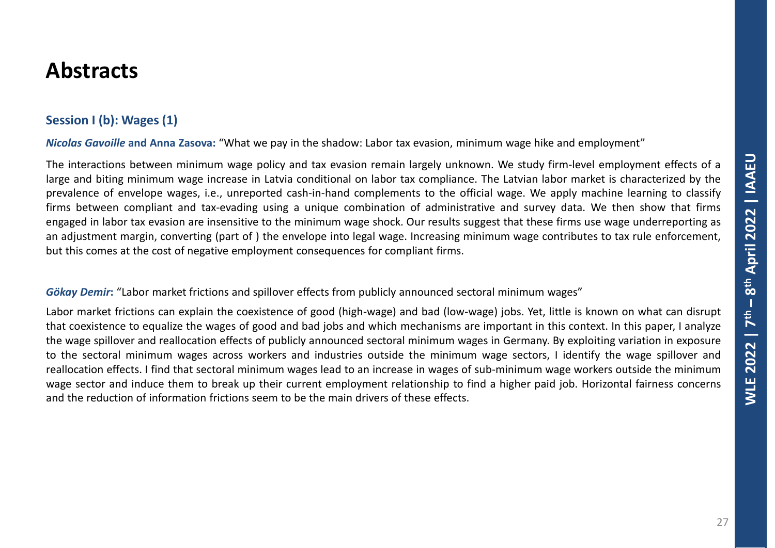### **Session I (b): Wages (1)**

*Nicolas Gavoille* **and Anna Zasova:** "What we pay in the shadow: Labor tax evasion, minimum wage hike and employment"

The interactions between minimum wage policy and tax evasion remain largely unknown. We study firm-level employment effects of a large and biting minimum wage increase in Latvia conditional on labor tax compliance. The Latvian labor market is characterized by the prevalence of envelope wages, i.e., unreported cash-in-hand complements to the official wage. We apply machine learning to classify firms between compliant and tax-evading using a unique combination of administrative and survey data. We then show that firms engaged in labor tax evasion are insensitive to the minimum wage shock. Our results suggest that these firms use wage underreporting as an adjustment margin, converting (part of ) the envelope into legal wage. Increasing minimum wage contributes to tax rule enforcement, but this comes at the cost of negative employment consequences for compliant firms.

#### *Gökay Demir***:** "Labor market frictions and spillover effects from publicly announced sectoral minimum wages"

Labor market frictions can explain the coexistence of good (high-wage) and bad (low-wage) jobs. Yet, little is known on what can disrupt that coexistence to equalize the wages of good and bad jobs and which mechanisms are important in this context. In this paper, I analyze the wage spillover and reallocation effects of publicly announced sectoral minimum wages in Germany. By exploiting variation in exposure to the sectoral minimum wages across workers and industries outside the minimum wage sectors, I identify the wage spillover and reallocation effects. I find that sectoral minimum wages lead to an increase in wages of sub-minimum wage workers outside the minimum wage sector and induce them to break up their current employment relationship to find a higher paid job. Horizontal fairness concerns and the reduction of information frictions seem to be the main drivers of these effects.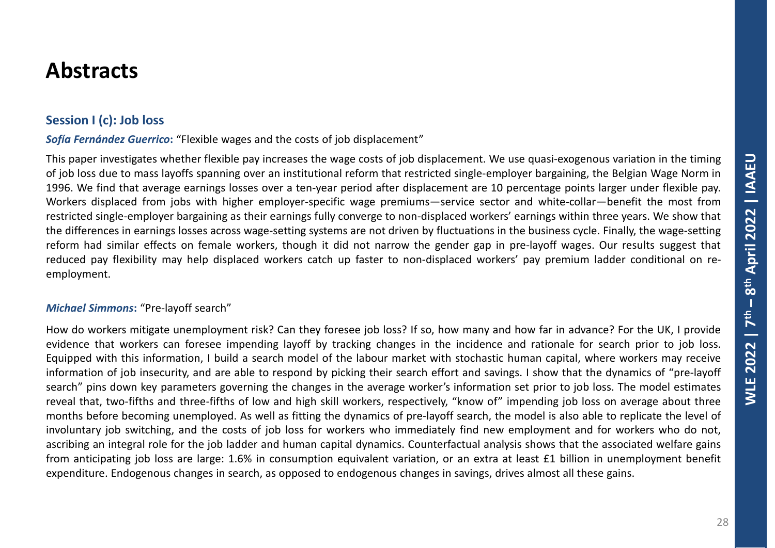### **Session I (c): Job loss**

*Sofía Fernández Guerrico***:** "Flexible wages and the costs of job displacement"

This paper investigates whether flexible pay increases the wage costs of job displacement. We use quasi-exogenous variation in the timing of job loss due to mass layoffs spanning over an institutional reform that restricted single-employer bargaining, the Belgian Wage Norm in 1996. We find that average earnings losses over a ten-year period after displacement are 10 percentage points larger under flexible pay. Workers displaced from jobs with higher employer-specific wage premiums—service sector and white-collar—benefit the most from restricted single-employer bargaining as their earnings fully converge to non-displaced workers' earnings within three years. We show that the differences in earnings losses across wage-setting systems are not driven by fluctuations in the business cycle. Finally, the wage-setting reform had similar effects on female workers, though it did not narrow the gender gap in pre-layoff wages. Our results suggest that reduced pay flexibility may help displaced workers catch up faster to non-displaced workers' pay premium ladder conditional on reemployment.

#### *Michael Simmons***:** "Pre-layoff search"

How do workers mitigate unemployment risk? Can they foresee job loss? If so, how many and how far in advance? For the UK, I provide evidence that workers can foresee impending layoff by tracking changes in the incidence and rationale for search prior to job loss. Equipped with this information, I build a search model of the labour market with stochastic human capital, where workers may receive information of job insecurity, and are able to respond by picking their search effort and savings. I show that the dynamics of "pre-layoff search" pins down key parameters governing the changes in the average worker's information set prior to job loss. The model estimates reveal that, two-fifths and three-fifths of low and high skill workers, respectively, "know of" impending job loss on average about three months before becoming unemployed. As well as fitting the dynamics of pre-layoff search, the model is also able to replicate the level of involuntary job switching, and the costs of job loss for workers who immediately find new employment and for workers who do not, ascribing an integral role for the job ladder and human capital dynamics. Counterfactual analysis shows that the associated welfare gains from anticipating job loss are large: 1.6% in consumption equivalent variation, or an extra at least £1 billion in unemployment benefit expenditure. Endogenous changes in search, as opposed to endogenous changes in savings, drives almost all these gains.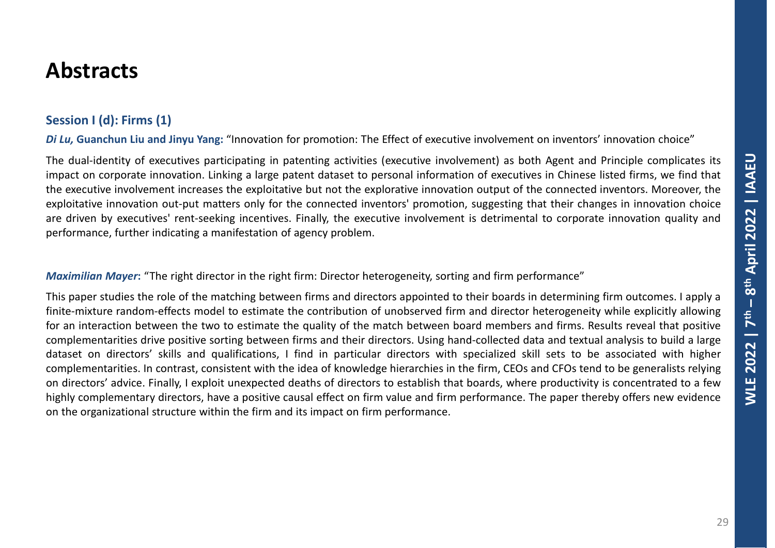### **Session I (d): Firms (1)**

*Di Lu,* **Guanchun Liu and Jinyu Yang:** "Innovation for promotion: The Effect of executive involvement on inventors' innovation choice"

The dual-identity of executives participating in patenting activities (executive involvement) as both Agent and Principle complicates its impact on corporate innovation. Linking a large patent dataset to personal information of executives in Chinese listed firms, we find that the executive involvement increases the exploitative but not the explorative innovation output of the connected inventors. Moreover, the exploitative innovation out-put matters only for the connected inventors' promotion, suggesting that their changes in innovation choice are driven by executives' rent-seeking incentives. Finally, the executive involvement is detrimental to corporate innovation quality and performance, further indicating a manifestation of agency problem.

*Maximilian Mayer***:** "The right director in the right firm: Director heterogeneity, sorting and firm performance"

This paper studies the role of the matching between firms and directors appointed to their boards in determining firm outcomes. I apply a finite-mixture random-effects model to estimate the contribution of unobserved firm and director heterogeneity while explicitly allowing for an interaction between the two to estimate the quality of the match between board members and firms. Results reveal that positive complementarities drive positive sorting between firms and their directors. Using hand-collected data and textual analysis to build a large dataset on directors' skills and qualifications, I find in particular directors with specialized skill sets to be associated with higher complementarities. In contrast, consistent with the idea of knowledge hierarchies in the firm, CEOs and CFOs tend to be generalists relying on directors' advice. Finally, I exploit unexpected deaths of directors to establish that boards, where productivity is concentrated to a few highly complementary directors, have a positive causal effect on firm value and firm performance. The paper thereby offers new evidence on the organizational structure within the firm and its impact on firm performance.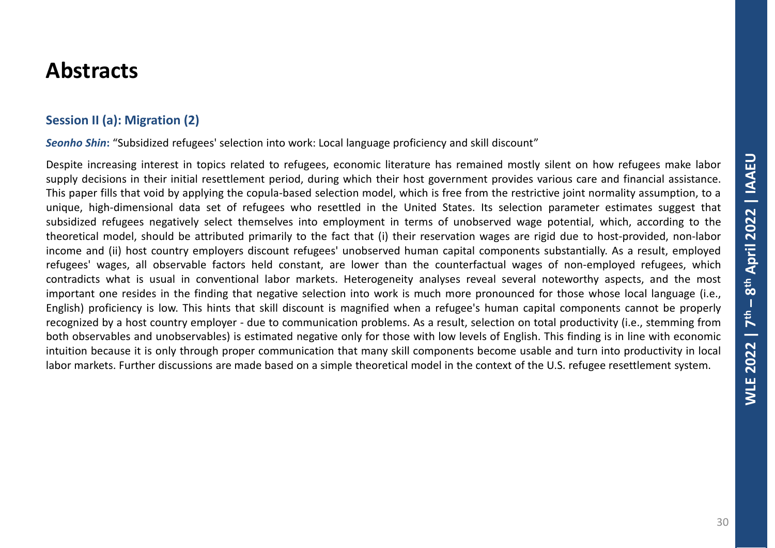### **Session II (a): Migration (2)**

*Seonho Shin***:** "Subsidized refugees' selection into work: Local language proficiency and skill discount"

Despite increasing interest in topics related to refugees, economic literature has remained mostly silent on how refugees make labor supply decisions in their initial resettlement period, during which their host government provides various care and financial assistance. This paper fills that void by applying the copula-based selection model, which is free from the restrictive joint normality assumption, to a unique, high-dimensional data set of refugees who resettled in the United States. Its selection parameter estimates suggest that subsidized refugees negatively select themselves into employment in terms of unobserved wage potential, which, according to the theoretical model, should be attributed primarily to the fact that (i) their reservation wages are rigid due to host-provided, non-labor income and (ii) host country employers discount refugees' unobserved human capital components substantially. As a result, employed refugees' wages, all observable factors held constant, are lower than the counterfactual wages of non-employed refugees, which contradicts what is usual in conventional labor markets. Heterogeneity analyses reveal several noteworthy aspects, and the most important one resides in the finding that negative selection into work is much more pronounced for those whose local language (i.e., English) proficiency is low. This hints that skill discount is magnified when a refugee's human capital components cannot be properly recognized by a host country employer - due to communication problems. As a result, selection on total productivity (i.e., stemming from both observables and unobservables) is estimated negative only for those with low levels of English. This finding is in line with economic intuition because it is only through proper communication that many skill components become usable and turn into productivity in local labor markets. Further discussions are made based on a simple theoretical model in the context of the U.S. refugee resettlement system.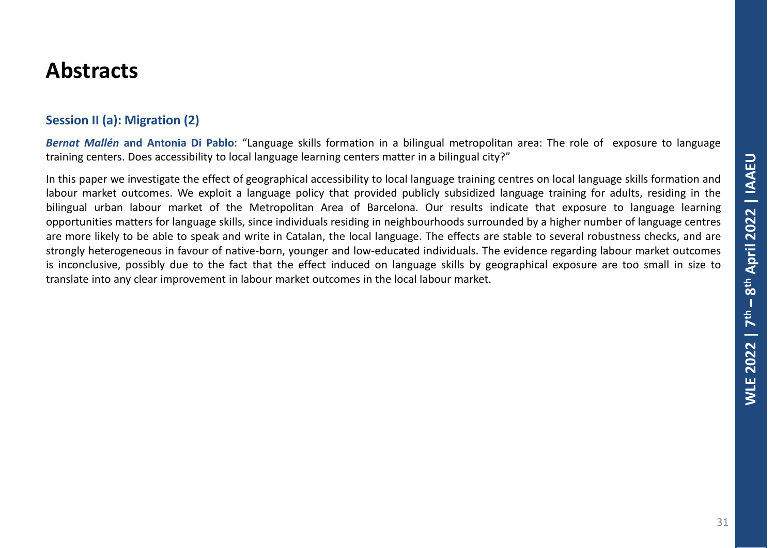### **Session II (a): Migration (2)**

*Bernat Mallén* **and Antonia Di Pablo**: "Language skills formation in a bilingual metropolitan area: The role of exposure to language training centers. Does accessibility to local language learning centers matter in a bilingual city?"

In this paper we investigate the effect of geographical accessibility to local language training centres on local language skills formation and labour market outcomes. We exploit a language policy that provided publicly subsidized language training for adults, residing in the bilingual urban labour market of the Metropolitan Area of Barcelona. Our results indicate that exposure to language learning opportunities matters for language skills, since individuals residing in neighbourhoods surrounded by a higher number of language centres are more likely to be able to speak and write in Catalan, the local language. The effects are stable to several robustness checks, and are strongly heterogeneous in favour of native-born, younger and low-educated individuals. The evidence regarding labour market outcomes is inconclusive, possibly due to the fact that the effect induced on language skills by geographical exposure are too small in size to translate into any clear improvement in labour market outcomes in the local labour market.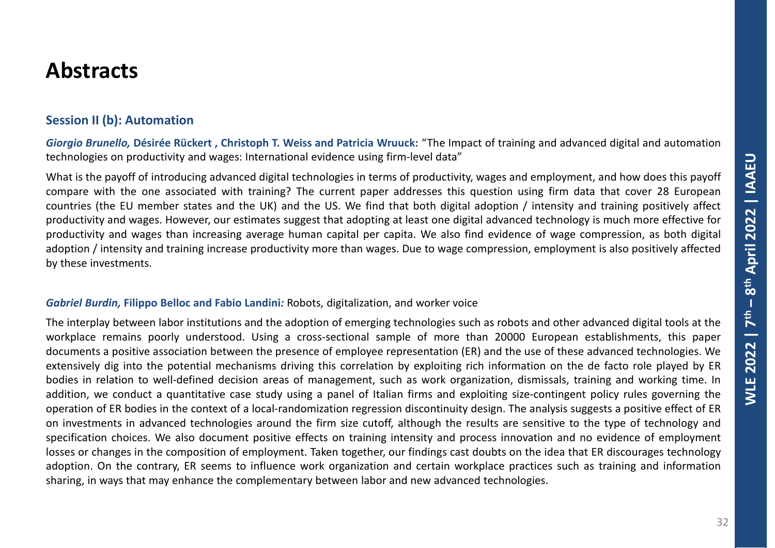### **Session II (b): Automation**

*Giorgio Brunello,* **Désirée Rückert , Christoph T. Weiss and Patricia Wruuck:** "The Impact of training and advanced digital and automation technologies on productivity and wages: International evidence using firm-level data"

What is the payoff of introducing advanced digital technologies in terms of productivity, wages and employment, and how does this payoff compare with the one associated with training? The current paper addresses this question using firm data that cover 28 European countries (the EU member states and the UK) and the US. We find that both digital adoption / intensity and training positively affect productivity and wages. However, our estimates suggest that adopting at least one digital advanced technology is much more effective for productivity and wages than increasing average human capital per capita. We also find evidence of wage compression, as both digital adoption / intensity and training increase productivity more than wages. Due to wage compression, employment is also positively affected by these investments.

#### *Gabriel Burdin,* **Filippo Belloc and Fabio Landini***:* Robots, digitalization, and worker voice

The interplay between labor institutions and the adoption of emerging technologies such as robots and other advanced digital tools at the workplace remains poorly understood. Using a cross-sectional sample of more than 20000 European establishments, this paper documents a positive association between the presence of employee representation (ER) and the use of these advanced technologies. We extensively dig into the potential mechanisms driving this correlation by exploiting rich information on the de facto role played by ER bodies in relation to well-defined decision areas of management, such as work organization, dismissals, training and working time. In addition, we conduct a quantitative case study using a panel of Italian firms and exploiting size-contingent policy rules governing the operation of ER bodies in the context of a local-randomization regression discontinuity design. The analysis suggests a positive effect of ER on investments in advanced technologies around the firm size cutoff, although the results are sensitive to the type of technology and specification choices. We also document positive effects on training intensity and process innovation and no evidence of employment losses or changes in the composition of employment. Taken together, our findings cast doubts on the idea that ER discourages technology adoption. On the contrary, ER seems to influence work organization and certain workplace practices such as training and information sharing, in ways that may enhance the complementary between labor and new advanced technologies.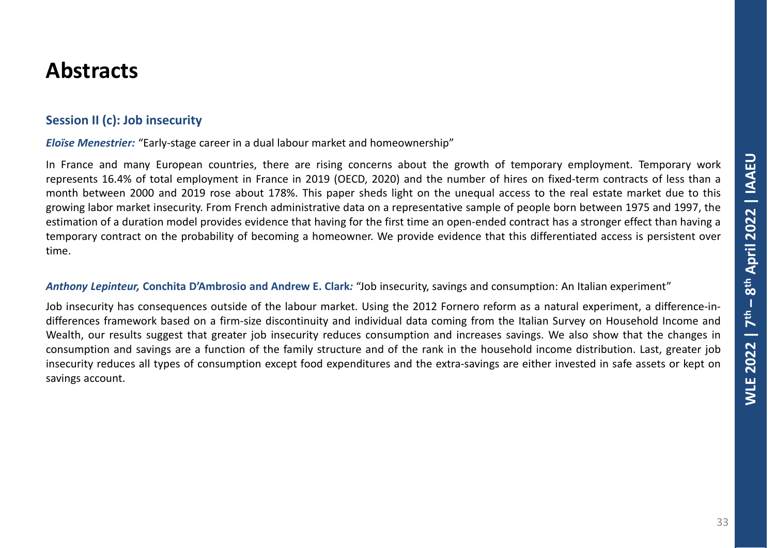### **Session II (c): Job insecurity**

*Eloïse Menestrier:* "Early-stage career in a dual labour market and homeownership"

In France and many European countries, there are rising concerns about the growth of temporary employment. Temporary work represents 16.4% of total employment in France in 2019 (OECD, 2020) and the number of hires on fixed-term contracts of less than a month between 2000 and 2019 rose about 178%. This paper sheds light on the unequal access to the real estate market due to this growing labor market insecurity. From French administrative data on a representative sample of people born between 1975 and 1997, the estimation of a duration model provides evidence that having for the first time an open-ended contract has a stronger effect than having a temporary contract on the probability of becoming a homeowner. We provide evidence that this differentiated access is persistent over time.

#### *Anthony Lepinteur,* **Conchita D'Ambrosio and Andrew E. Clark***:* "Job insecurity, savings and consumption: An Italian experiment"

Job insecurity has consequences outside of the labour market. Using the 2012 Fornero reform as a natural experiment, a difference-indifferences framework based on a firm-size discontinuity and individual data coming from the Italian Survey on Household Income and Wealth, our results suggest that greater job insecurity reduces consumption and increases savings. We also show that the changes in consumption and savings are a function of the family structure and of the rank in the household income distribution. Last, greater job insecurity reduces all types of consumption except food expenditures and the extra-savings are either invested in safe assets or kept on savings account.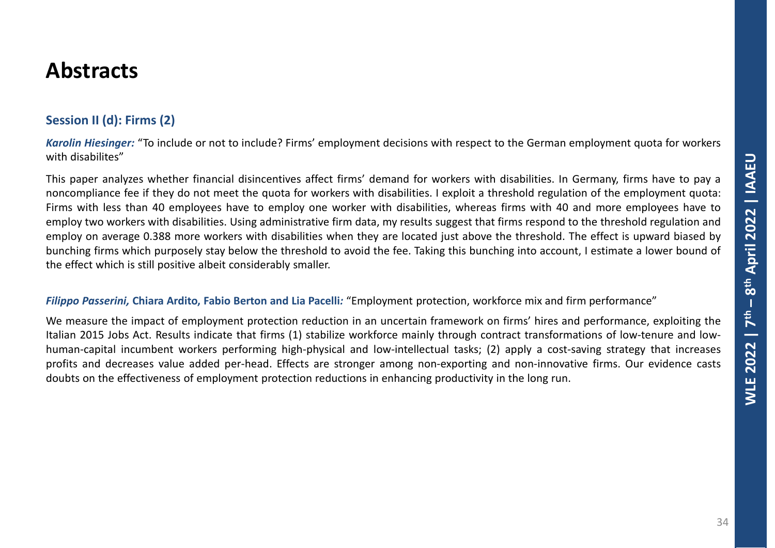### **Session II (d): Firms (2)**

*Karolin Hiesinger:* "To include or not to include? Firms' employment decisions with respect to the German employment quota for workers with disabilites"

This paper analyzes whether financial disincentives affect firms' demand for workers with disabilities. In Germany, firms have to pay a noncompliance fee if they do not meet the quota for workers with disabilities. I exploit a threshold regulation of the employment quota: Firms with less than 40 employees have to employ one worker with disabilities, whereas firms with 40 and more employees have to employ two workers with disabilities. Using administrative firm data, my results suggest that firms respond to the threshold regulation and employ on average 0.388 more workers with disabilities when they are located just above the threshold. The effect is upward biased by bunching firms which purposely stay below the threshold to avoid the fee. Taking this bunching into account, I estimate a lower bound of the effect which is still positive albeit considerably smaller.

#### *Filippo Passerini,* **Chiara Ardito, Fabio Berton and Lia Pacelli***:* "Employment protection, workforce mix and firm performance"

We measure the impact of employment protection reduction in an uncertain framework on firms' hires and performance, exploiting the Italian 2015 Jobs Act. Results indicate that firms (1) stabilize workforce mainly through contract transformations of low-tenure and lowhuman-capital incumbent workers performing high-physical and low-intellectual tasks; (2) apply a cost-saving strategy that increases profits and decreases value added per-head. Effects are stronger among non-exporting and non-innovative firms. Our evidence casts doubts on the effectiveness of employment protection reductions in enhancing productivity in the long run.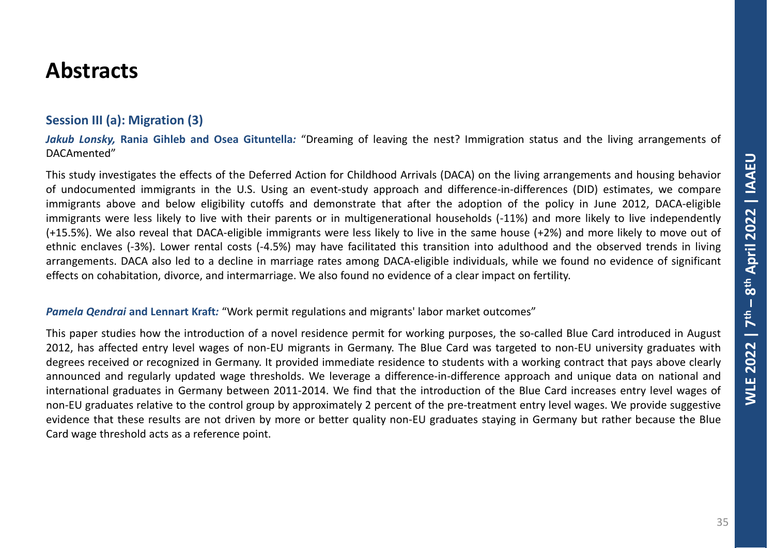### **Session III (a): Migration (3)**

*Jakub Lonsky,* **Rania Gihleb and Osea Gituntella***:* "Dreaming of leaving the nest? Immigration status and the living arrangements of DACAmented"

This study investigates the effects of the Deferred Action for Childhood Arrivals (DACA) on the living arrangements and housing behavior of undocumented immigrants in the U.S. Using an event-study approach and difference-in-differences (DID) estimates, we compare immigrants above and below eligibility cutoffs and demonstrate that after the adoption of the policy in June 2012, DACA-eligible immigrants were less likely to live with their parents or in multigenerational households (-11%) and more likely to live independently (+15.5%). We also reveal that DACA-eligible immigrants were less likely to live in the same house (+2%) and more likely to move out of ethnic enclaves (-3%). Lower rental costs (-4.5%) may have facilitated this transition into adulthood and the observed trends in living arrangements. DACA also led to a decline in marriage rates among DACA-eligible individuals, while we found no evidence of significant effects on cohabitation, divorce, and intermarriage. We also found no evidence of a clear impact on fertility.

#### *Pamela Qendrai* **and Lennart Kraft***:* "Work permit regulations and migrants' labor market outcomes"

This paper studies how the introduction of a novel residence permit for working purposes, the so-called Blue Card introduced in August 2012, has affected entry level wages of non-EU migrants in Germany. The Blue Card was targeted to non-EU university graduates with degrees received or recognized in Germany. It provided immediate residence to students with a working contract that pays above clearly announced and regularly updated wage thresholds. We leverage a difference-in-difference approach and unique data on national and international graduates in Germany between 2011-2014. We find that the introduction of the Blue Card increases entry level wages of non-EU graduates relative to the control group by approximately 2 percent of the pre-treatment entry level wages. We provide suggestive evidence that these results are not driven by more or better quality non-EU graduates staying in Germany but rather because the Blue Card wage threshold acts as a reference point.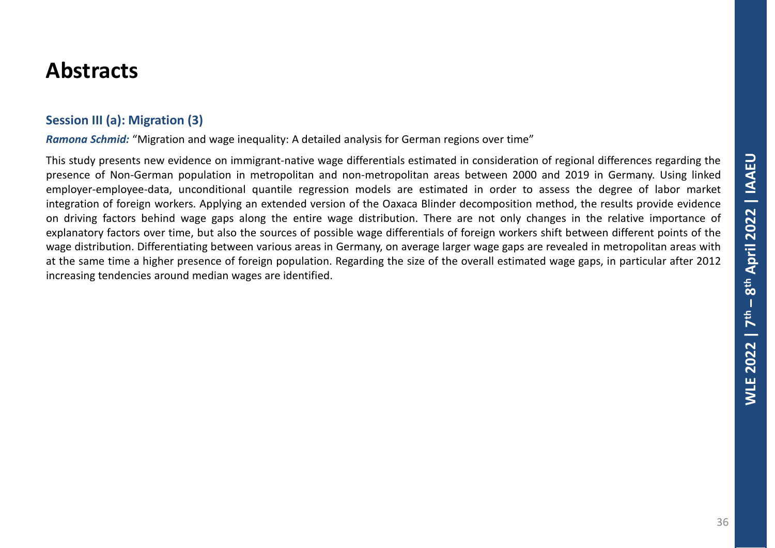### **Session III (a): Migration (3)**

*Ramona Schmid:* "Migration and wage inequality: A detailed analysis for German regions over time"

This study presents new evidence on immigrant-native wage differentials estimated in consideration of regional differences regarding the presence of Non-German population in metropolitan and non-metropolitan areas between 2000 and 2019 in Germany. Using linked employer-employee-data, unconditional quantile regression models are estimated in order to assess the degree of labor market integration of foreign workers. Applying an extended version of the Oaxaca Blinder decomposition method, the results provide evidence on driving factors behind wage gaps along the entire wage distribution. There are not only changes in the relative importance of explanatory factors over time, but also the sources of possible wage differentials of foreign workers shift between different points of the wage distribution. Differentiating between various areas in Germany, on average larger wage gaps are revealed in metropolitan areas with at the same time a higher presence of foreign population. Regarding the size of the overall estimated wage gaps, in particular after 2012 increasing tendencies around median wages are identified.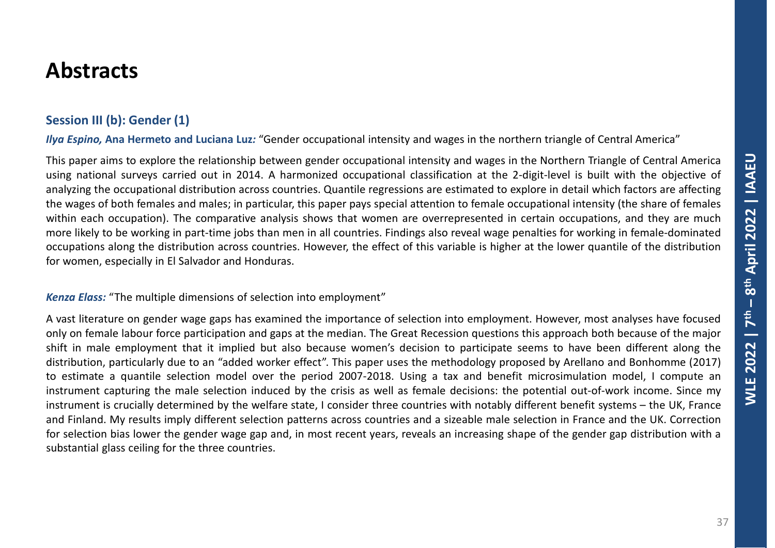### **Session III (b): Gender (1)**

*Ilya Espino,* **Ana Hermeto and Luciana Luz***:* "Gender occupational intensity and wages in the northern triangle of Central America"

This paper aims to explore the relationship between gender occupational intensity and wages in the Northern Triangle of Central America using national surveys carried out in 2014. A harmonized occupational classification at the 2-digit-level is built with the objective of analyzing the occupational distribution across countries. Quantile regressions are estimated to explore in detail which factors are affecting the wages of both females and males; in particular, this paper pays special attention to female occupational intensity (the share of females within each occupation). The comparative analysis shows that women are overrepresented in certain occupations, and they are much more likely to be working in part-time jobs than men in all countries. Findings also reveal wage penalties for working in female-dominated occupations along the distribution across countries. However, the effect of this variable is higher at the lower quantile of the distribution for women, especially in El Salvador and Honduras.

*Kenza Elass:* "The multiple dimensions of selection into employment"

A vast literature on gender wage gaps has examined the importance of selection into employment. However, most analyses have focused only on female labour force participation and gaps at the median. The Great Recession questions this approach both because of the major shift in male employment that it implied but also because women's decision to participate seems to have been different along the distribution, particularly due to an "added worker effect". This paper uses the methodology proposed by Arellano and Bonhomme (2017) to estimate a quantile selection model over the period 2007-2018. Using a tax and benefit microsimulation model, I compute an instrument capturing the male selection induced by the crisis as well as female decisions: the potential out-of-work income. Since my instrument is crucially determined by the welfare state, I consider three countries with notably different benefit systems – the UK, France and Finland. My results imply different selection patterns across countries and a sizeable male selection in France and the UK. Correction for selection bias lower the gender wage gap and, in most recent years, reveals an increasing shape of the gender gap distribution with a substantial glass ceiling for the three countries.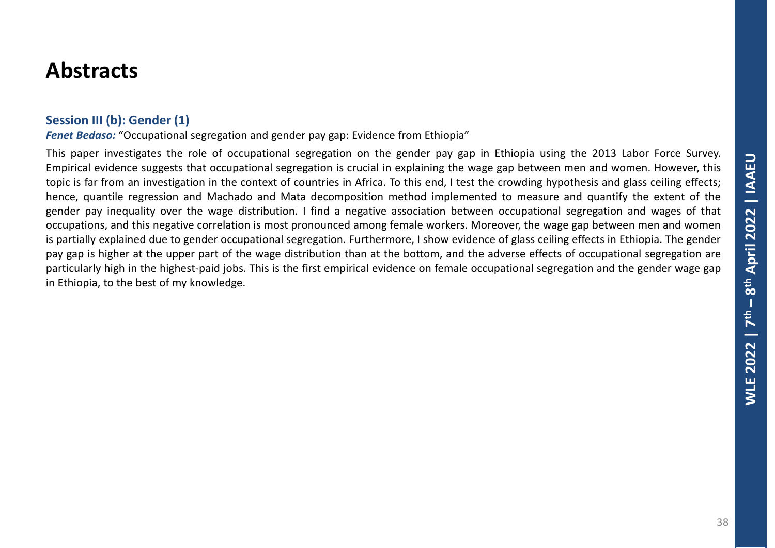#### **Session III (b): Gender (1)**

*Fenet Bedaso:* "Occupational segregation and gender pay gap: Evidence from Ethiopia"

This paper investigates the role of occupational segregation on the gender pay gap in Ethiopia using the 2013 Labor Force Survey. Empirical evidence suggests that occupational segregation is crucial in explaining the wage gap between men and women. However, this topic is far from an investigation in the context of countries in Africa. To this end, I test the crowding hypothesis and glass ceiling effects; hence, quantile regression and Machado and Mata decomposition method implemented to measure and quantify the extent of the gender pay inequality over the wage distribution. I find a negative association between occupational segregation and wages of that occupations, and this negative correlation is most pronounced among female workers. Moreover, the wage gap between men and women is partially explained due to gender occupational segregation. Furthermore, I show evidence of glass ceiling effects in Ethiopia. The gender pay gap is higher at the upper part of the wage distribution than at the bottom, and the adverse effects of occupational segregation are particularly high in the highest-paid jobs. This is the first empirical evidence on female occupational segregation and the gender wage gap in Ethiopia, to the best of my knowledge.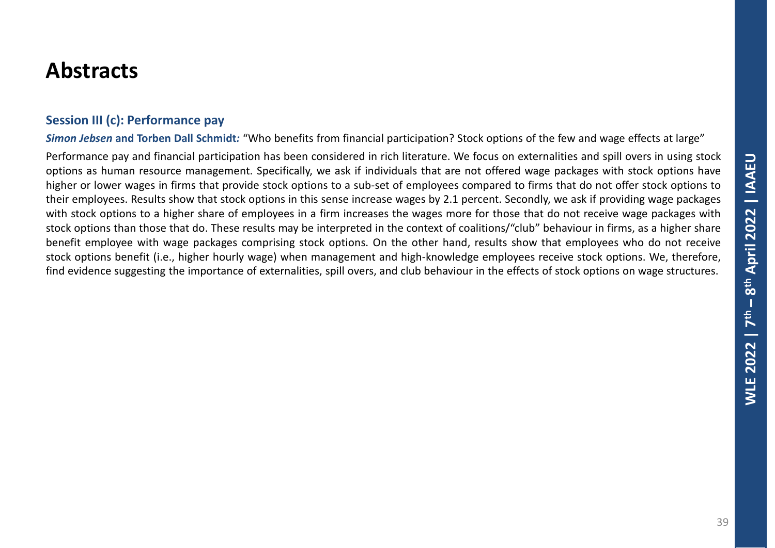#### **Session III (c): Performance pay**

*Simon Jebsen* **and Torben Dall Schmidt***:* "Who benefits from financial participation? Stock options of the few and wage effects at large"

Performance pay and financial participation has been considered in rich literature. We focus on externalities and spill overs in using stock options as human resource management. Specifically, we ask if individuals that are not offered wage packages with stock options have higher or lower wages in firms that provide stock options to a sub-set of employees compared to firms that do not offer stock options to their employees. Results show that stock options in this sense increase wages by 2.1 percent. Secondly, we ask if providing wage packages with stock options to a higher share of employees in a firm increases the wages more for those that do not receive wage packages with stock options than those that do. These results may be interpreted in the context of coalitions/"club" behaviour in firms, as a higher share benefit employee with wage packages comprising stock options. On the other hand, results show that employees who do not receive stock options benefit (i.e., higher hourly wage) when management and high-knowledge employees receive stock options. We, therefore, find evidence suggesting the importance of externalities, spill overs, and club behaviour in the effects of stock options on wage structures.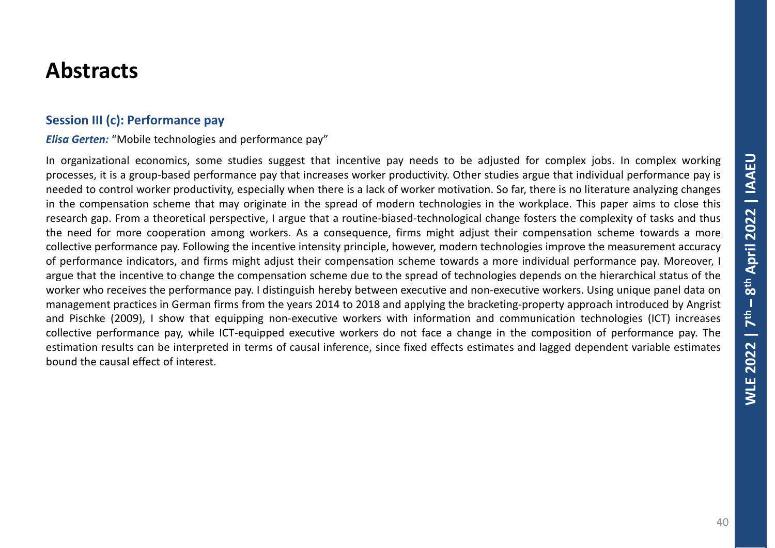#### **Session III (c): Performance pay**

*Elisa Gerten:* "Mobile technologies and performance pay"

In organizational economics, some studies suggest that incentive pay needs to be adjusted for complex jobs. In complex working processes, it is a group-based performance pay that increases worker productivity. Other studies argue that individual performance pay is needed to control worker productivity, especially when there is a lack of worker motivation. So far, there is no literature analyzing changes in the compensation scheme that may originate in the spread of modern technologies in the workplace. This paper aims to close this research gap. From a theoretical perspective, I argue that a routine-biased-technological change fosters the complexity of tasks and thus the need for more cooperation among workers. As a consequence, firms might adjust their compensation scheme towards a more collective performance pay. Following the incentive intensity principle, however, modern technologies improve the measurement accuracy of performance indicators, and firms might adjust their compensation scheme towards a more individual performance pay. Moreover, I argue that the incentive to change the compensation scheme due to the spread of technologies depends on the hierarchical status of the worker who receives the performance pay. I distinguish hereby between executive and non-executive workers. Using unique panel data on management practices in German firms from the years 2014 to 2018 and applying the bracketing-property approach introduced by Angrist and Pischke (2009), I show that equipping non-executive workers with information and communication technologies (ICT) increases collective performance pay, while ICT-equipped executive workers do not face a change in the composition of performance pay. The estimation results can be interpreted in terms of causal inference, since fixed effects estimates and lagged dependent variable estimates bound the causal effect of interest.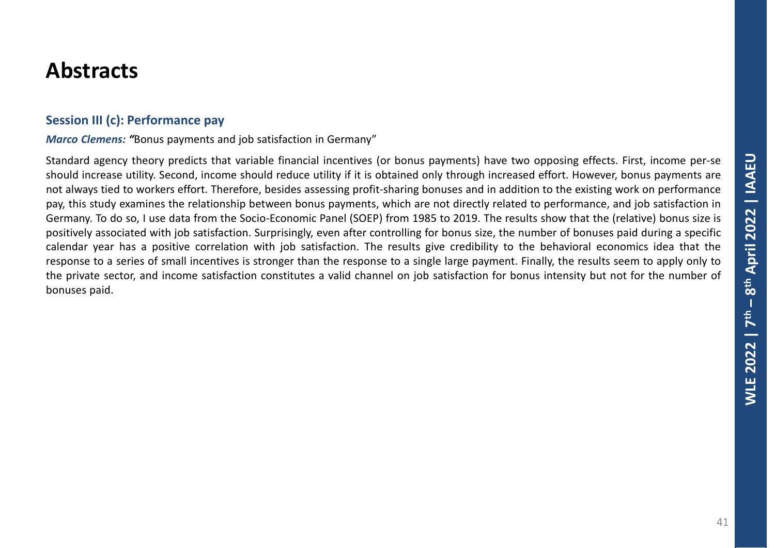#### **Session III (c): Performance pay**

*Marco Clemens: "*Bonus payments and job satisfaction in Germany"

Standard agency theory predicts that variable financial incentives (or bonus payments) have two opposing effects. First, income per-se should increase utility. Second, income should reduce utility if it is obtained only through increased effort. However, bonus payments are not always tied to workers effort. Therefore, besides assessing profit-sharing bonuses and in addition to the existing work on performance pay, this study examines the relationship between bonus payments, which are not directly related to performance, and job satisfaction in Germany. To do so, I use data from the Socio-Economic Panel (SOEP) from 1985 to 2019. The results show that the (relative) bonus size is positively associated with job satisfaction. Surprisingly, even after controlling for bonus size, the number of bonuses paid during a specific calendar year has a positive correlation with job satisfaction. The results give credibility to the behavioral economics idea that the response to a series of small incentives is stronger than the response to a single large payment. Finally, the results seem to apply only to the private sector, and income satisfaction constitutes a valid channel on job satisfaction for bonus intensity but not for the number of bonuses paid.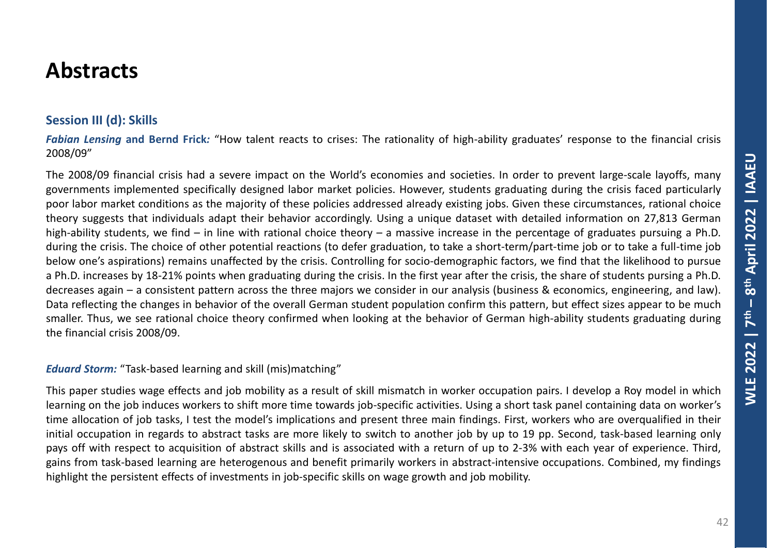### **Session III (d): Skills**

*Fabian Lensing* **and Bernd Frick***:* "How talent reacts to crises: The rationality of high-ability graduates' response to the financial crisis 2008/09"

The 2008/09 financial crisis had a severe impact on the World's economies and societies. In order to prevent large-scale layoffs, many governments implemented specifically designed labor market policies. However, students graduating during the crisis faced particularly poor labor market conditions as the majority of these policies addressed already existing jobs. Given these circumstances, rational choice theory suggests that individuals adapt their behavior accordingly. Using a unique dataset with detailed information on 27,813 German high-ability students, we find – in line with rational choice theory – a massive increase in the percentage of graduates pursuing a Ph.D. during the crisis. The choice of other potential reactions (to defer graduation, to take a short-term/part-time job or to take a full-time job below one's aspirations) remains unaffected by the crisis. Controlling for socio-demographic factors, we find that the likelihood to pursue a Ph.D. increases by 18-21% points when graduating during the crisis. In the first year after the crisis, the share of students pursing a Ph.D. decreases again – a consistent pattern across the three majors we consider in our analysis (business & economics, engineering, and law). Data reflecting the changes in behavior of the overall German student population confirm this pattern, but effect sizes appear to be much smaller. Thus, we see rational choice theory confirmed when looking at the behavior of German high-ability students graduating during the financial crisis 2008/09.

#### *Eduard Storm:* "Task-based learning and skill (mis)matching"

This paper studies wage effects and job mobility as a result of skill mismatch in worker occupation pairs. I develop a Roy model in which learning on the job induces workers to shift more time towards job-specific activities. Using a short task panel containing data on worker's time allocation of job tasks, I test the model's implications and present three main findings. First, workers who are overqualified in their initial occupation in regards to abstract tasks are more likely to switch to another job by up to 19 pp. Second, task-based learning only pays off with respect to acquisition of abstract skills and is associated with a return of up to 2-3% with each year of experience. Third, gains from task-based learning are heterogenous and benefit primarily workers in abstract-intensive occupations. Combined, my findings highlight the persistent effects of investments in job-specific skills on wage growth and job mobility.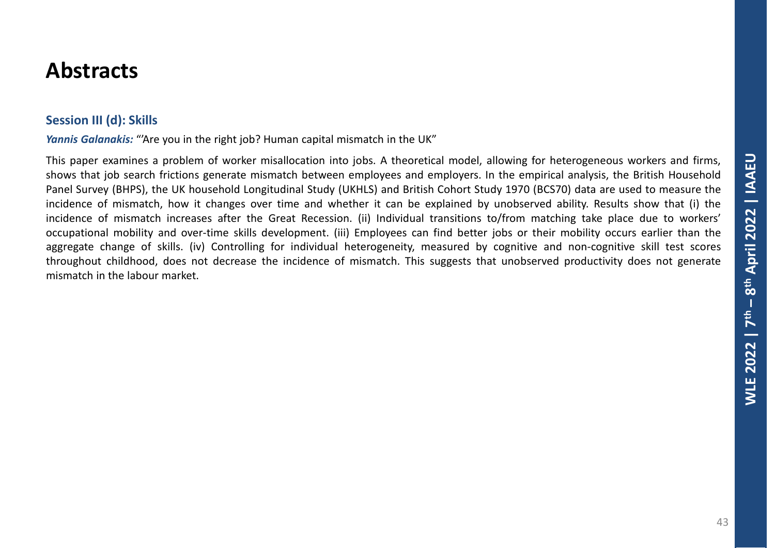### **Session III (d): Skills**

*Yannis Galanakis:* "'Are you in the right job? Human capital mismatch in the UK"

This paper examines a problem of worker misallocation into jobs. A theoretical model, allowing for heterogeneous workers and firms, shows that job search frictions generate mismatch between employees and employers. In the empirical analysis, the British Household Panel Survey (BHPS), the UK household Longitudinal Study (UKHLS) and British Cohort Study 1970 (BCS70) data are used to measure the incidence of mismatch, how it changes over time and whether it can be explained by unobserved ability. Results show that (i) the incidence of mismatch increases after the Great Recession. (ii) Individual transitions to/from matching take place due to workers' occupational mobility and over-time skills development. (iii) Employees can find better jobs or their mobility occurs earlier than the aggregate change of skills. (iv) Controlling for individual heterogeneity, measured by cognitive and non-cognitive skill test scores throughout childhood, does not decrease the incidence of mismatch. This suggests that unobserved productivity does not generate mismatch in the labour market.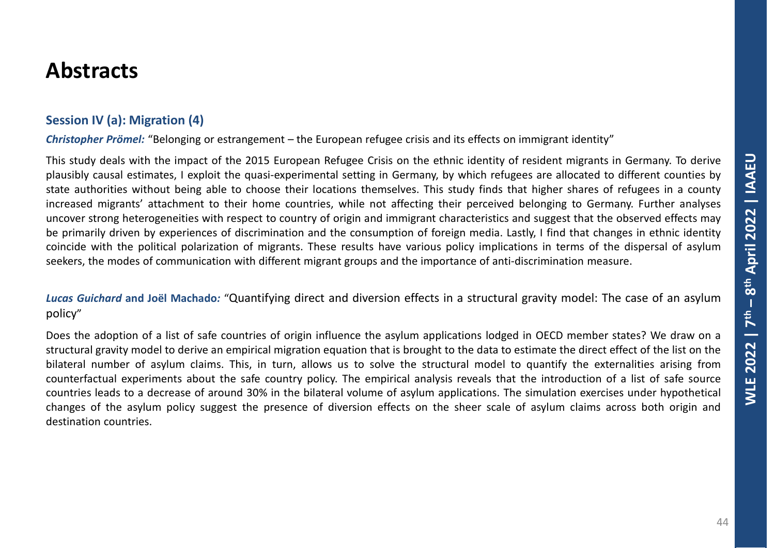### **Session IV (a): Migration (4)**

*Christopher Prömel:* "Belonging or estrangement – the European refugee crisis and its effects on immigrant identity"

This study deals with the impact of the 2015 European Refugee Crisis on the ethnic identity of resident migrants in Germany. To derive plausibly causal estimates, I exploit the quasi-experimental setting in Germany, by which refugees are allocated to different counties by state authorities without being able to choose their locations themselves. This study finds that higher shares of refugees in a county increased migrants' attachment to their home countries, while not affecting their perceived belonging to Germany. Further analyses uncover strong heterogeneities with respect to country of origin and immigrant characteristics and suggest that the observed effects may be primarily driven by experiences of discrimination and the consumption of foreign media. Lastly, I find that changes in ethnic identity coincide with the political polarization of migrants. These results have various policy implications in terms of the dispersal of asylum seekers, the modes of communication with different migrant groups and the importance of anti-discrimination measure.

*Lucas Guichard* **and Joël Machado***:* "Quantifying direct and diversion effects in a structural gravity model: The case of an asylum policy"

Does the adoption of a list of safe countries of origin influence the asylum applications lodged in OECD member states? We draw on a structural gravity model to derive an empirical migration equation that is brought to the data to estimate the direct effect of the list on the bilateral number of asylum claims. This, in turn, allows us to solve the structural model to quantify the externalities arising from counterfactual experiments about the safe country policy. The empirical analysis reveals that the introduction of a list of safe source countries leads to a decrease of around 30% in the bilateral volume of asylum applications. The simulation exercises under hypothetical changes of the asylum policy suggest the presence of diversion effects on the sheer scale of asylum claims across both origin and destination countries.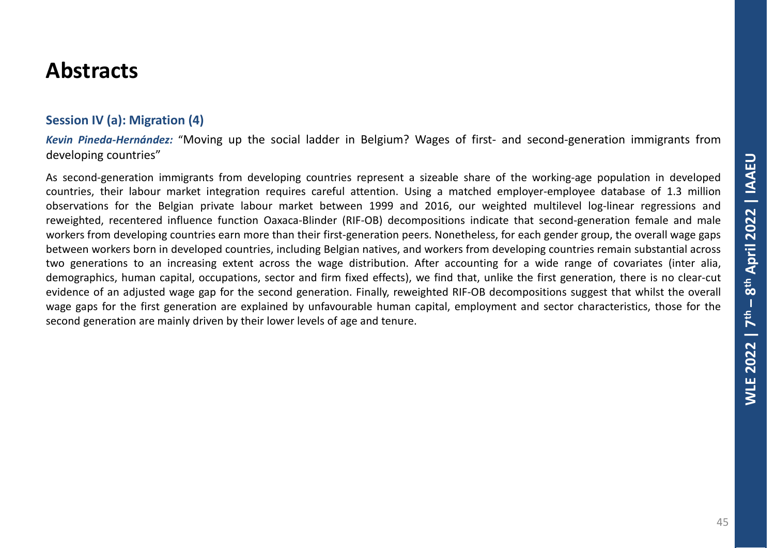#### **Session IV (a): Migration (4)**

*Kevin Pineda-Hernández:* "Moving up the social ladder in Belgium? Wages of first- and second-generation immigrants from developing countries"

As second-generation immigrants from developing countries represent a sizeable share of the working-age population in developed countries, their labour market integration requires careful attention. Using a matched employer-employee database of 1.3 million observations for the Belgian private labour market between 1999 and 2016, our weighted multilevel log-linear regressions and reweighted, recentered influence function Oaxaca-Blinder (RIF-OB) decompositions indicate that second-generation female and male workers from developing countries earn more than their first-generation peers. Nonetheless, for each gender group, the overall wage gaps between workers born in developed countries, including Belgian natives, and workers from developing countries remain substantial across two generations to an increasing extent across the wage distribution. After accounting for a wide range of covariates (inter alia, demographics, human capital, occupations, sector and firm fixed effects), we find that, unlike the first generation, there is no clear-cut evidence of an adjusted wage gap for the second generation. Finally, reweighted RIF-OB decompositions suggest that whilst the overall wage gaps for the first generation are explained by unfavourable human capital, employment and sector characteristics, those for the second generation are mainly driven by their lower levels of age and tenure.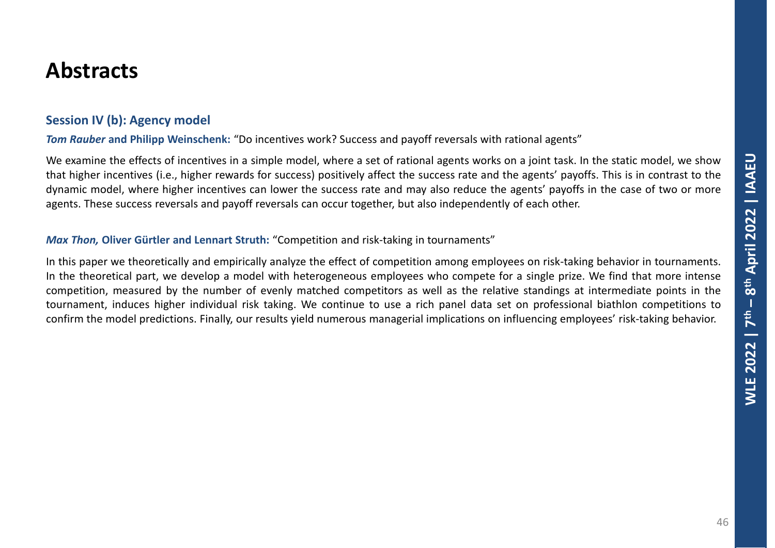#### **Session IV (b): Agency model**

*Tom Rauber* **and Philipp Weinschenk:** "Do incentives work? Success and payoff reversals with rational agents"

We examine the effects of incentives in a simple model, where a set of rational agents works on a joint task. In the static model, we show that higher incentives (i.e., higher rewards for success) positively affect the success rate and the agents' payoffs. This is in contrast to the dynamic model, where higher incentives can lower the success rate and may also reduce the agents' payoffs in the case of two or more agents. These success reversals and payoff reversals can occur together, but also independently of each other.

#### *Max Thon,* **Oliver Gürtler and Lennart Struth:** "Competition and risk-taking in tournaments"

In this paper we theoretically and empirically analyze the effect of competition among employees on risk-taking behavior in tournaments. In the theoretical part, we develop a model with heterogeneous employees who compete for a single prize. We find that more intense competition, measured by the number of evenly matched competitors as well as the relative standings at intermediate points in the tournament, induces higher individual risk taking. We continue to use a rich panel data set on professional biathlon competitions to confirm the model predictions. Finally, our results yield numerous managerial implications on influencing employees' risk-taking behavior.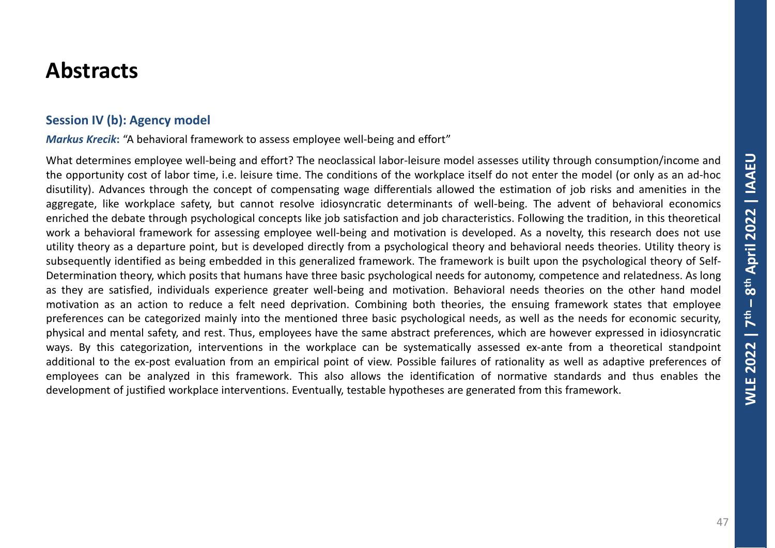#### **Session IV (b): Agency model**

*Markus Krecik***:** "A behavioral framework to assess employee well-being and effort"

What determines employee well-being and effort? The neoclassical labor-leisure model assesses utility through consumption/income and the opportunity cost of labor time, i.e. leisure time. The conditions of the workplace itself do not enter the model (or only as an ad-hoc disutility). Advances through the concept of compensating wage differentials allowed the estimation of job risks and amenities in the aggregate, like workplace safety, but cannot resolve idiosyncratic determinants of well-being. The advent of behavioral economics enriched the debate through psychological concepts like job satisfaction and job characteristics. Following the tradition, in this theoretical work a behavioral framework for assessing employee well-being and motivation is developed. As a novelty, this research does not use utility theory as a departure point, but is developed directly from a psychological theory and behavioral needs theories. Utility theory is subsequently identified as being embedded in this generalized framework. The framework is built upon the psychological theory of Self-Determination theory, which posits that humans have three basic psychological needs for autonomy, competence and relatedness. As long as they are satisfied, individuals experience greater well-being and motivation. Behavioral needs theories on the other hand model motivation as an action to reduce a felt need deprivation. Combining both theories, the ensuing framework states that employee preferences can be categorized mainly into the mentioned three basic psychological needs, as well as the needs for economic security, physical and mental safety, and rest. Thus, employees have the same abstract preferences, which are however expressed in idiosyncratic ways. By this categorization, interventions in the workplace can be systematically assessed ex-ante from a theoretical standpoint additional to the ex-post evaluation from an empirical point of view. Possible failures of rationality as well as adaptive preferences of employees can be analyzed in this framework. This also allows the identification of normative standards and thus enables the development of justified workplace interventions. Eventually, testable hypotheses are generated from this framework.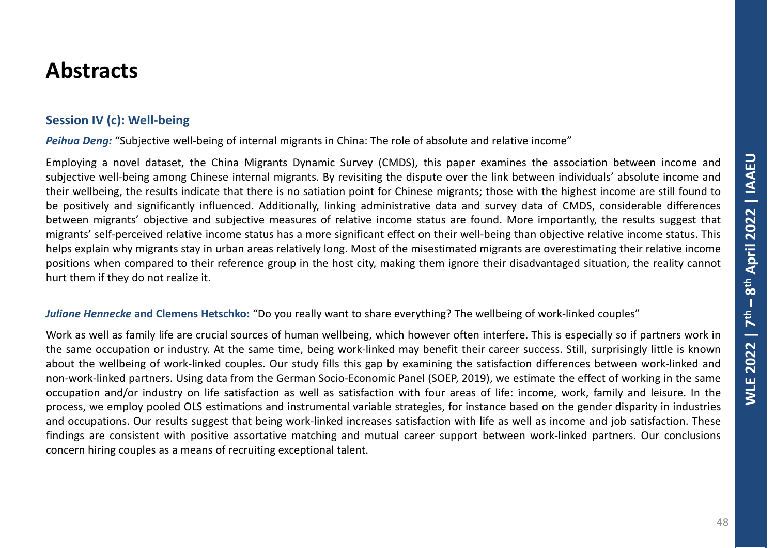### **Session IV (c): Well-being**

*Peihua Deng:* "Subjective well-being of internal migrants in China: The role of absolute and relative income"

Employing a novel dataset, the China Migrants Dynamic Survey (CMDS), this paper examines the association between income and subjective well-being among Chinese internal migrants. By revisiting the dispute over the link between individuals' absolute income and their wellbeing, the results indicate that there is no satiation point for Chinese migrants; those with the highest income are still found to be positively and significantly influenced. Additionally, linking administrative data and survey data of CMDS, considerable differences between migrants' objective and subjective measures of relative income status are found. More importantly, the results suggest that migrants' self-perceived relative income status has a more significant effect on their well-being than objective relative income status. This helps explain why migrants stay in urban areas relatively long. Most of the misestimated migrants are overestimating their relative income positions when compared to their reference group in the host city, making them ignore their disadvantaged situation, the reality cannot hurt them if they do not realize it.

#### *Juliane Hennecke* **and Clemens Hetschko:** "Do you really want to share everything? The wellbeing of work-linked couples"

Work as well as family life are crucial sources of human wellbeing, which however often interfere. This is especially so if partners work in the same occupation or industry. At the same time, being work-linked may benefit their career success. Still, surprisingly little is known about the wellbeing of work-linked couples. Our study fills this gap by examining the satisfaction differences between work-linked and non-work-linked partners. Using data from the German Socio-Economic Panel (SOEP, 2019), we estimate the effect of working in the same occupation and/or industry on life satisfaction as well as satisfaction with four areas of life: income, work, family and leisure. In the process, we employ pooled OLS estimations and instrumental variable strategies, for instance based on the gender disparity in industries and occupations. Our results suggest that being work-linked increases satisfaction with life as well as income and job satisfaction. These findings are consistent with positive assortative matching and mutual career support between work-linked partners. Our conclusions concern hiring couples as a means of recruiting exceptional talent.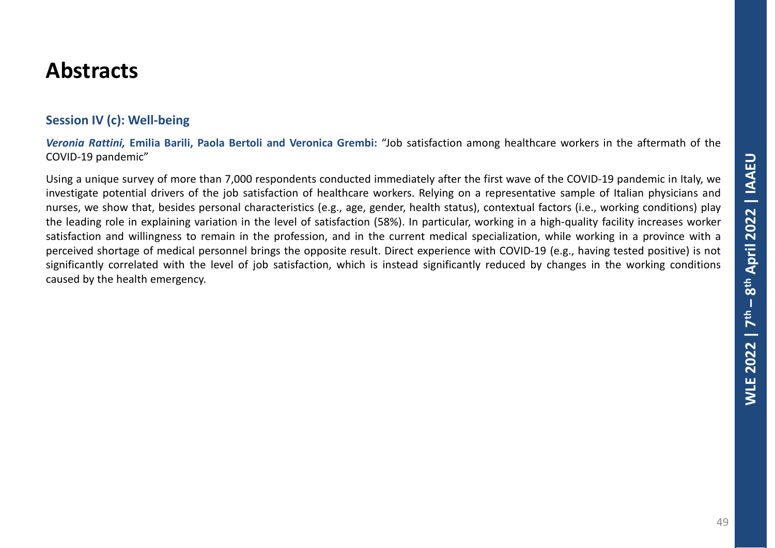### **Session IV (c): Well-being**

*Veronia Rattini,* **Emilia Barili, Paola Bertoli and Veronica Grembi:** "Job satisfaction among healthcare workers in the aftermath of the COVID-19 pandemic"

Using a unique survey of more than 7,000 respondents conducted immediately after the first wave of the COVID-19 pandemic in Italy, we investigate potential drivers of the job satisfaction of healthcare workers. Relying on a representative sample of Italian physicians and nurses, we show that, besides personal characteristics (e.g., age, gender, health status), contextual factors (i.e., working conditions) play the leading role in explaining variation in the level of satisfaction (58%). In particular, working in a high-quality facility increases worker satisfaction and willingness to remain in the profession, and in the current medical specialization, while working in a province with a perceived shortage of medical personnel brings the opposite result. Direct experience with COVID-19 (e.g., having tested positive) is not significantly correlated with the level of job satisfaction, which is instead significantly reduced by changes in the working conditions caused by the health emergency.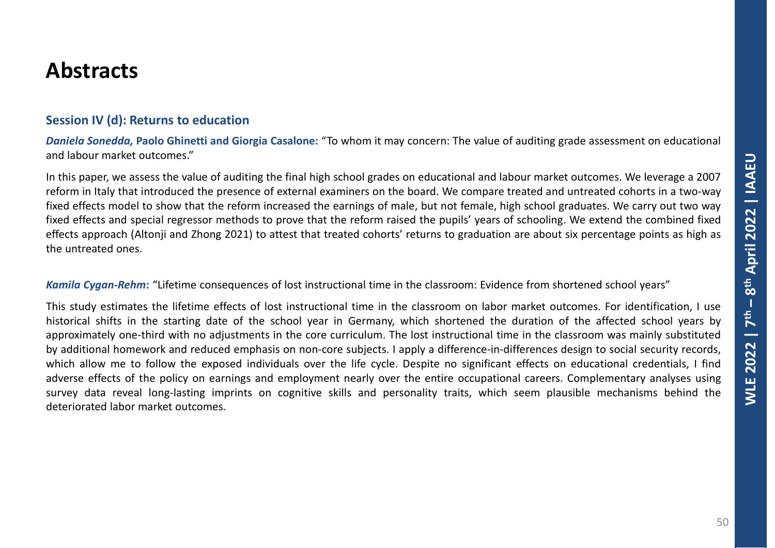#### **Session IV (d): Returns to education**

*Daniela Sonedda,* **Paolo Ghinetti and Giorgia Casalone:** "To whom it may concern: The value of auditing grade assessment on educational and labour market outcomes."

In this paper, we assess the value of auditing the final high school grades on educational and labour market outcomes. We leverage a 2007 reform in Italy that introduced the presence of external examiners on the board. We compare treated and untreated cohorts in a two-way fixed effects model to show that the reform increased the earnings of male, but not female, high school graduates. We carry out two way fixed effects and special regressor methods to prove that the reform raised the pupils' years of schooling. We extend the combined fixed effects approach (Altonji and Zhong 2021) to attest that treated cohorts' returns to graduation are about six percentage points as high as the untreated ones.

#### *Kamila Cygan-Rehm***:** "Lifetime consequences of lost instructional time in the classroom: Evidence from shortened school years"

This study estimates the lifetime effects of lost instructional time in the classroom on labor market outcomes. For identification, I use historical shifts in the starting date of the school year in Germany, which shortened the duration of the affected school years by approximately one-third with no adjustments in the core curriculum. The lost instructional time in the classroom was mainly substituted by additional homework and reduced emphasis on non-core subjects. I apply a difference-in-differences design to social security records, which allow me to follow the exposed individuals over the life cycle. Despite no significant effects on educational credentials, I find adverse effects of the policy on earnings and employment nearly over the entire occupational careers. Complementary analyses using survey data reveal long-lasting imprints on cognitive skills and personality traits, which seem plausible mechanisms behind the deteriorated labor market outcomes.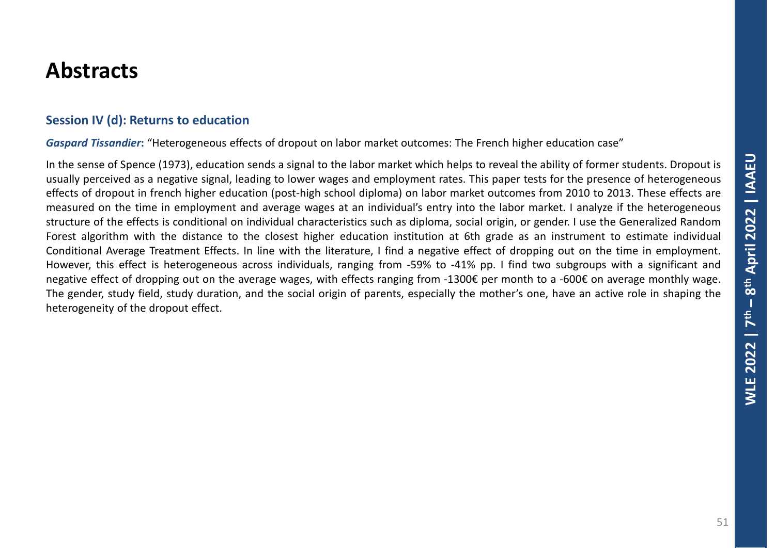#### **Session IV (d): Returns to education**

*Gaspard Tissandier***:** "Heterogeneous effects of dropout on labor market outcomes: The French higher education case"

In the sense of Spence (1973), education sends a signal to the labor market which helps to reveal the ability of former students. Dropout is usually perceived as a negative signal, leading to lower wages and employment rates. This paper tests for the presence of heterogeneous effects of dropout in french higher education (post-high school diploma) on labor market outcomes from 2010 to 2013. These effects are measured on the time in employment and average wages at an individual's entry into the labor market. I analyze if the heterogeneous structure of the effects is conditional on individual characteristics such as diploma, social origin, or gender. I use the Generalized Random Forest algorithm with the distance to the closest higher education institution at 6th grade as an instrument to estimate individual Conditional Average Treatment Effects. In line with the literature, I find a negative effect of dropping out on the time in employment. However, this effect is heterogeneous across individuals, ranging from -59% to -41% pp. I find two subgroups with a significant and negative effect of dropping out on the average wages, with effects ranging from -1300€ per month to a -600€ on average monthly wage. The gender, study field, study duration, and the social origin of parents, especially the mother's one, have an active role in shaping the heterogeneity of the dropout effect.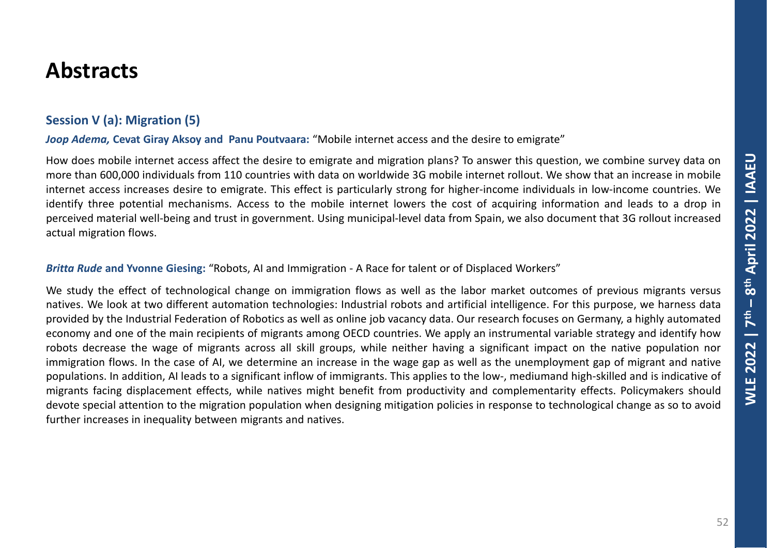### **Session V (a): Migration (5)**

*Joop Adema,* **Cevat Giray Aksoy and Panu Poutvaara:** "Mobile internet access and the desire to emigrate"

How does mobile internet access affect the desire to emigrate and migration plans? To answer this question, we combine survey data on more than 600,000 individuals from 110 countries with data on worldwide 3G mobile internet rollout. We show that an increase in mobile internet access increases desire to emigrate. This effect is particularly strong for higher-income individuals in low-income countries. We identify three potential mechanisms. Access to the mobile internet lowers the cost of acquiring information and leads to a drop in perceived material well-being and trust in government. Using municipal-level data from Spain, we also document that 3G rollout increased actual migration flows.

*Britta Rude* **and Yvonne Giesing:** "Robots, AI and Immigration - A Race for talent or of Displaced Workers"

We study the effect of technological change on immigration flows as well as the labor market outcomes of previous migrants versus natives. We look at two different automation technologies: Industrial robots and artificial intelligence. For this purpose, we harness data provided by the Industrial Federation of Robotics as well as online job vacancy data. Our research focuses on Germany, a highly automated economy and one of the main recipients of migrants among OECD countries. We apply an instrumental variable strategy and identify how robots decrease the wage of migrants across all skill groups, while neither having a significant impact on the native population nor immigration flows. In the case of AI, we determine an increase in the wage gap as well as the unemployment gap of migrant and native populations. In addition, AI leads to a significant inflow of immigrants. This applies to the low-, mediumand high-skilled and is indicative of migrants facing displacement effects, while natives might benefit from productivity and complementarity effects. Policymakers should devote special attention to the migration population when designing mitigation policies in response to technological change as so to avoid further increases in inequality between migrants and natives.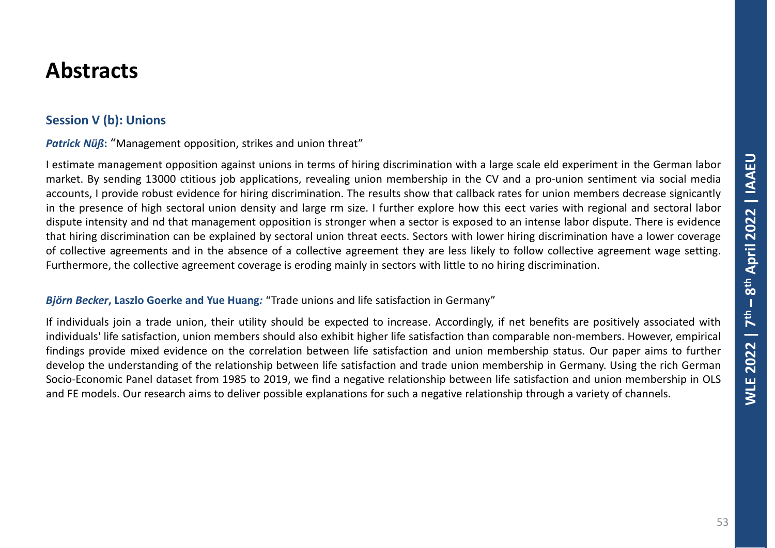### **Session V (b): Unions**

**Patrick Nüß:** "Management opposition, strikes and union threat"

I estimate management opposition against unions in terms of hiring discrimination with a large scale eld experiment in the German labor market. By sending 13000 ctitious job applications, revealing union membership in the CV and a pro-union sentiment via social media accounts, I provide robust evidence for hiring discrimination. The results show that callback rates for union members decrease signicantly in the presence of high sectoral union density and large rm size. I further explore how this eect varies with regional and sectoral labor dispute intensity and nd that management opposition is stronger when a sector is exposed to an intense labor dispute. There is evidence that hiring discrimination can be explained by sectoral union threat eects. Sectors with lower hiring discrimination have a lower coverage of collective agreements and in the absence of a collective agreement they are less likely to follow collective agreement wage setting. Furthermore, the collective agreement coverage is eroding mainly in sectors with little to no hiring discrimination.

#### *Björn Becker***, Laszlo Goerke and Yue Huang***:* "Trade unions and life satisfaction in Germany"

If individuals join a trade union, their utility should be expected to increase. Accordingly, if net benefits are positively associated with individuals' life satisfaction, union members should also exhibit higher life satisfaction than comparable non-members. However, empirical findings provide mixed evidence on the correlation between life satisfaction and union membership status. Our paper aims to further develop the understanding of the relationship between life satisfaction and trade union membership in Germany. Using the rich German Socio-Economic Panel dataset from 1985 to 2019, we find a negative relationship between life satisfaction and union membership in OLS and FE models. Our research aims to deliver possible explanations for such a negative relationship through a variety of channels.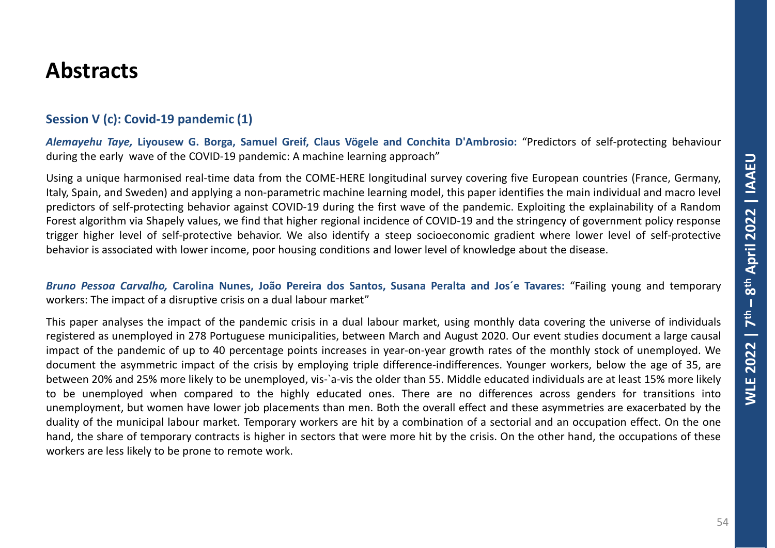#### **Session V (c): Covid-19 pandemic (1)**

*Alemayehu Taye,* **Liyousew G. Borga, Samuel Greif, Claus Vögele and Conchita D'Ambrosio:** "Predictors of self-protecting behaviour during the early wave of the COVID-19 pandemic: A machine learning approach"

Using a unique harmonised real-time data from the COME-HERE longitudinal survey covering five European countries (France, Germany, Italy, Spain, and Sweden) and applying a non-parametric machine learning model, this paper identifies the main individual and macro level predictors of self-protecting behavior against COVID-19 during the first wave of the pandemic. Exploiting the explainability of a Random Forest algorithm via Shapely values, we find that higher regional incidence of COVID-19 and the stringency of government policy response trigger higher level of self-protective behavior. We also identify a steep socioeconomic gradient where lower level of self-protective behavior is associated with lower income, poor housing conditions and lower level of knowledge about the disease.

*Bruno Pessoa Carvalho,* **Carolina Nunes, João Pereira dos Santos, Susana Peralta and Jos´e Tavares:** "Failing young and temporary workers: The impact of a disruptive crisis on a dual labour market"

This paper analyses the impact of the pandemic crisis in a dual labour market, using monthly data covering the universe of individuals registered as unemployed in 278 Portuguese municipalities, between March and August 2020. Our event studies document a large causal impact of the pandemic of up to 40 percentage points increases in year-on-year growth rates of the monthly stock of unemployed. We document the asymmetric impact of the crisis by employing triple difference-indifferences. Younger workers, below the age of 35, are between 20% and 25% more likely to be unemployed, vis-`a-vis the older than 55. Middle educated individuals are at least 15% more likely to be unemployed when compared to the highly educated ones. There are no differences across genders for transitions into unemployment, but women have lower job placements than men. Both the overall effect and these asymmetries are exacerbated by the duality of the municipal labour market. Temporary workers are hit by a combination of a sectorial and an occupation effect. On the one hand, the share of temporary contracts is higher in sectors that were more hit by the crisis. On the other hand, the occupations of these workers are less likely to be prone to remote work.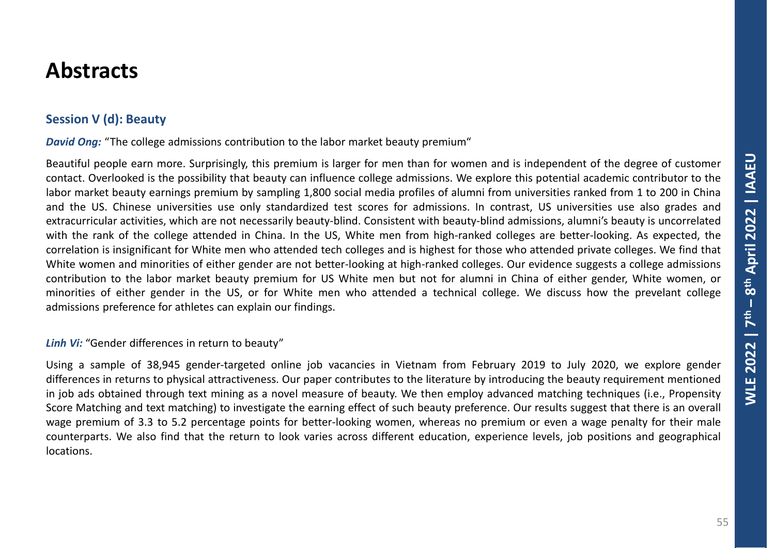### **Session V (d): Beauty**

*David Ong:* "The college admissions contribution to the labor market beauty premium"

Beautiful people earn more. Surprisingly, this premium is larger for men than for women and is independent of the degree of customer contact. Overlooked is the possibility that beauty can influence college admissions. We explore this potential academic contributor to the labor market beauty earnings premium by sampling 1,800 social media profiles of alumni from universities ranked from 1 to 200 in China and the US. Chinese universities use only standardized test scores for admissions. In contrast, US universities use also grades and extracurricular activities, which are not necessarily beauty-blind. Consistent with beauty-blind admissions, alumni's beauty is uncorrelated with the rank of the college attended in China. In the US, White men from high-ranked colleges are better-looking. As expected, the correlation is insignificant for White men who attended tech colleges and is highest for those who attended private colleges. We find that White women and minorities of either gender are not better-looking at high-ranked colleges. Our evidence suggests a college admissions contribution to the labor market beauty premium for US White men but not for alumni in China of either gender, White women, or minorities of either gender in the US, or for White men who attended a technical college. We discuss how the prevelant college admissions preference for athletes can explain our findings.

#### *Linh Vi:* "Gender differences in return to beauty"

Using a sample of 38,945 gender-targeted online job vacancies in Vietnam from February 2019 to July 2020, we explore gender differences in returns to physical attractiveness. Our paper contributes to the literature by introducing the beauty requirement mentioned in job ads obtained through text mining as a novel measure of beauty. We then employ advanced matching techniques (i.e., Propensity Score Matching and text matching) to investigate the earning effect of such beauty preference. Our results suggest that there is an overall wage premium of 3.3 to 5.2 percentage points for better-looking women, whereas no premium or even a wage penalty for their male counterparts. We also find that the return to look varies across different education, experience levels, job positions and geographical locations.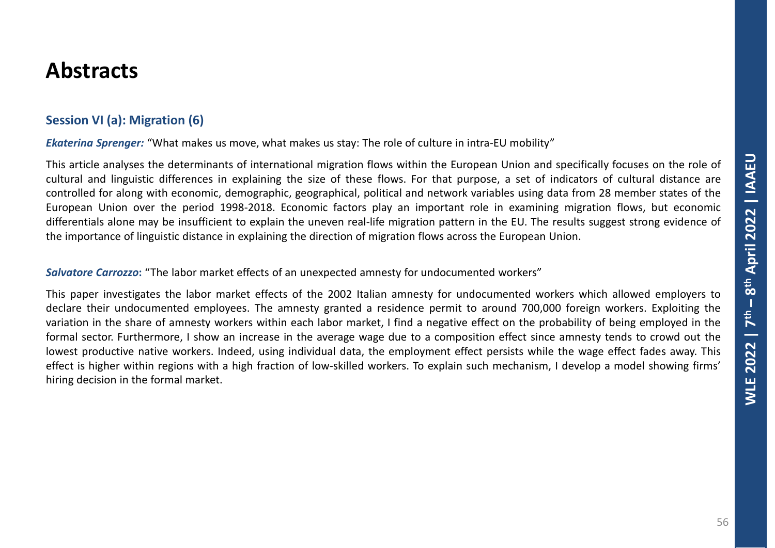### **Session VI (a): Migration (6)**

*Ekaterina Sprenger:* "What makes us move, what makes us stay: The role of culture in intra-EU mobility"

This article analyses the determinants of international migration flows within the European Union and specifically focuses on the role of cultural and linguistic differences in explaining the size of these flows. For that purpose, a set of indicators of cultural distance are controlled for along with economic, demographic, geographical, political and network variables using data from 28 member states of the European Union over the period 1998-2018. Economic factors play an important role in examining migration flows, but economic differentials alone may be insufficient to explain the uneven real-life migration pattern in the EU. The results suggest strong evidence of the importance of linguistic distance in explaining the direction of migration flows across the European Union.

*Salvatore Carrozzo***:** "The labor market effects of an unexpected amnesty for undocumented workers"

This paper investigates the labor market effects of the 2002 Italian amnesty for undocumented workers which allowed employers to declare their undocumented employees. The amnesty granted a residence permit to around 700,000 foreign workers. Exploiting the variation in the share of amnesty workers within each labor market, I find a negative effect on the probability of being employed in the formal sector. Furthermore, I show an increase in the average wage due to a composition effect since amnesty tends to crowd out the lowest productive native workers. Indeed, using individual data, the employment effect persists while the wage effect fades away. This effect is higher within regions with a high fraction of low-skilled workers. To explain such mechanism, I develop a model showing firms' hiring decision in the formal market.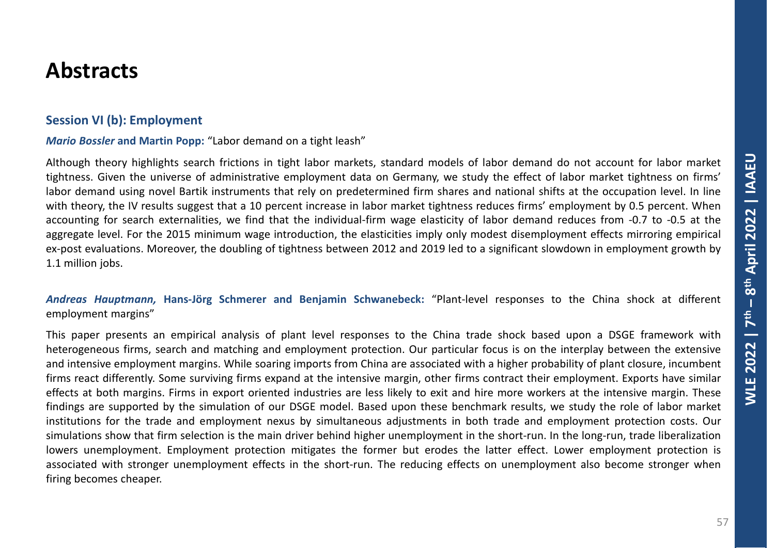#### **Session VI (b): Employment**

#### *Mario Bossler* **and Martin Popp:** "Labor demand on a tight leash"

Although theory highlights search frictions in tight labor markets, standard models of labor demand do not account for labor market tightness. Given the universe of administrative employment data on Germany, we study the effect of labor market tightness on firms' labor demand using novel Bartik instruments that rely on predetermined firm shares and national shifts at the occupation level. In line with theory, the IV results suggest that a 10 percent increase in labor market tightness reduces firms' employment by 0.5 percent. When accounting for search externalities, we find that the individual-firm wage elasticity of labor demand reduces from -0.7 to -0.5 at the aggregate level. For the 2015 minimum wage introduction, the elasticities imply only modest disemployment effects mirroring empirical ex-post evaluations. Moreover, the doubling of tightness between 2012 and 2019 led to a significant slowdown in employment growth by 1.1 million jobs.

#### *Andreas Hauptmann,* **Hans-Jörg Schmerer and Benjamin Schwanebeck:** "Plant-level responses to the China shock at different employment margins"

This paper presents an empirical analysis of plant level responses to the China trade shock based upon a DSGE framework with heterogeneous firms, search and matching and employment protection. Our particular focus is on the interplay between the extensive and intensive employment margins. While soaring imports from China are associated with a higher probability of plant closure, incumbent firms react differently. Some surviving firms expand at the intensive margin, other firms contract their employment. Exports have similar effects at both margins. Firms in export oriented industries are less likely to exit and hire more workers at the intensive margin. These findings are supported by the simulation of our DSGE model. Based upon these benchmark results, we study the role of labor market institutions for the trade and employment nexus by simultaneous adjustments in both trade and employment protection costs. Our simulations show that firm selection is the main driver behind higher unemployment in the short-run. In the long-run, trade liberalization lowers unemployment. Employment protection mitigates the former but erodes the latter effect. Lower employment protection is associated with stronger unemployment effects in the short-run. The reducing effects on unemployment also become stronger when firing becomes cheaper.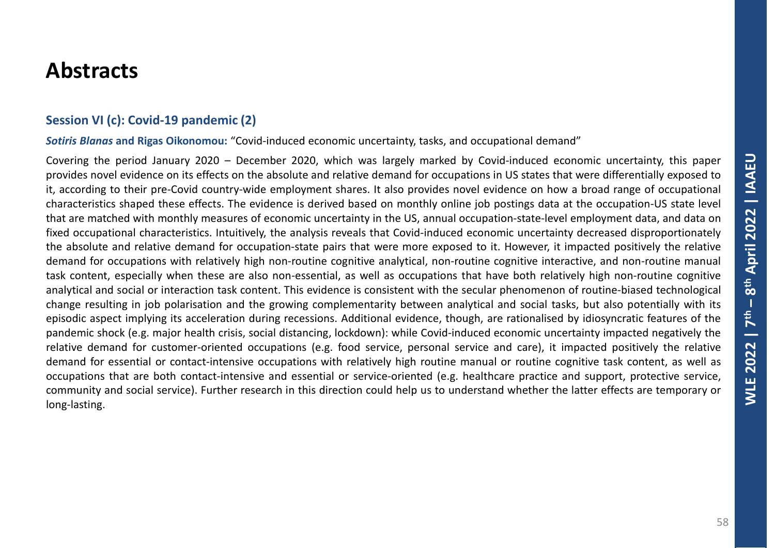#### **Session VI (c): Covid-19 pandemic (2)**

*Sotiris Blanas* **and Rigas Oikonomou:** "Covid-induced economic uncertainty, tasks, and occupational demand"

Covering the period January 2020 – December 2020, which was largely marked by Covid-induced economic uncertainty, this paper provides novel evidence on its effects on the absolute and relative demand for occupations in US states that were differentially exposed to it, according to their pre-Covid country-wide employment shares. It also provides novel evidence on how a broad range of occupational characteristics shaped these effects. The evidence is derived based on monthly online job postings data at the occupation-US state level that are matched with monthly measures of economic uncertainty in the US, annual occupation-state-level employment data, and data on fixed occupational characteristics. Intuitively, the analysis reveals that Covid-induced economic uncertainty decreased disproportionately the absolute and relative demand for occupation-state pairs that were more exposed to it. However, it impacted positively the relative demand for occupations with relatively high non-routine cognitive analytical, non-routine cognitive interactive, and non-routine manual task content, especially when these are also non-essential, as well as occupations that have both relatively high non-routine cognitive analytical and social or interaction task content. This evidence is consistent with the secular phenomenon of routine-biased technological change resulting in job polarisation and the growing complementarity between analytical and social tasks, but also potentially with its episodic aspect implying its acceleration during recessions. Additional evidence, though, are rationalised by idiosyncratic features of the pandemic shock (e.g. major health crisis, social distancing, lockdown): while Covid-induced economic uncertainty impacted negatively the relative demand for customer-oriented occupations (e.g. food service, personal service and care), it impacted positively the relative demand for essential or contact-intensive occupations with relatively high routine manual or routine cognitive task content, as well as occupations that are both contact-intensive and essential or service-oriented (e.g. healthcare practice and support, protective service, community and social service). Further research in this direction could help us to understand whether the latter effects are temporary or long-lasting.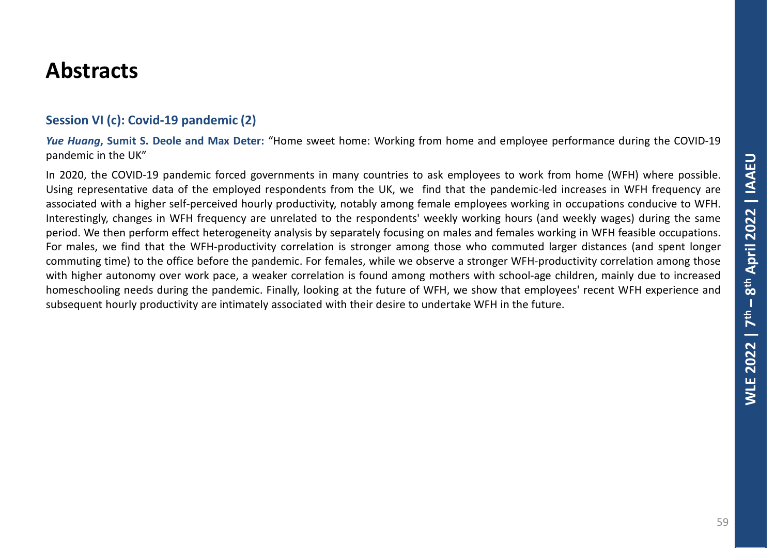#### **Session VI (c): Covid-19 pandemic (2)**

*Yue Huang***, Sumit S. Deole and Max Deter:** "Home sweet home: Working from home and employee performance during the COVID-19 pandemic in the UK"

In 2020, the COVID-19 pandemic forced governments in many countries to ask employees to work from home (WFH) where possible. Using representative data of the employed respondents from the UK, we find that the pandemic-led increases in WFH frequency are associated with a higher self-perceived hourly productivity, notably among female employees working in occupations conducive to WFH. Interestingly, changes in WFH frequency are unrelated to the respondents' weekly working hours (and weekly wages) during the same period. We then perform effect heterogeneity analysis by separately focusing on males and females working in WFH feasible occupations. For males, we find that the WFH-productivity correlation is stronger among those who commuted larger distances (and spent longer commuting time) to the office before the pandemic. For females, while we observe a stronger WFH-productivity correlation among those with higher autonomy over work pace, a weaker correlation is found among mothers with school-age children, mainly due to increased homeschooling needs during the pandemic. Finally, looking at the future of WFH, we show that employees' recent WFH experience and subsequent hourly productivity are intimately associated with their desire to undertake WFH in the future.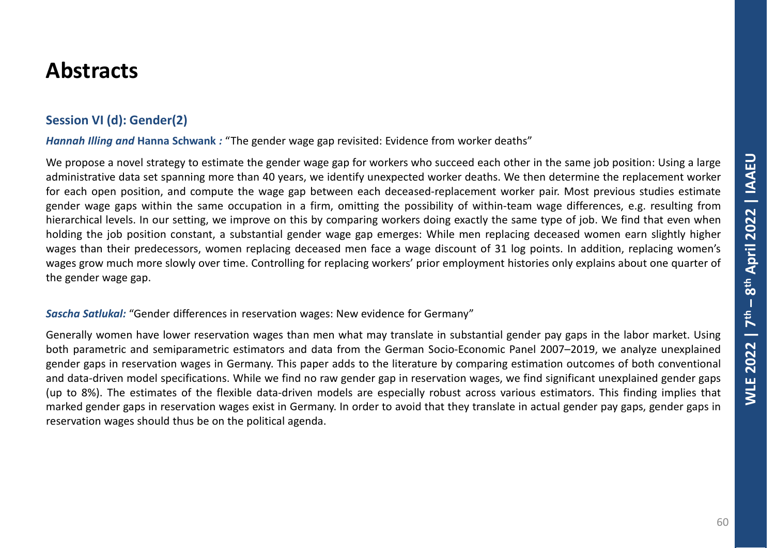### **Session VI (d): Gender(2)**

*Hannah Illing and* **Hanna Schwank** *:* "The gender wage gap revisited: Evidence from worker deaths"

We propose a novel strategy to estimate the gender wage gap for workers who succeed each other in the same job position: Using a large administrative data set spanning more than 40 years, we identify unexpected worker deaths. We then determine the replacement worker for each open position, and compute the wage gap between each deceased-replacement worker pair. Most previous studies estimate gender wage gaps within the same occupation in a firm, omitting the possibility of within-team wage differences, e.g. resulting from hierarchical levels. In our setting, we improve on this by comparing workers doing exactly the same type of job. We find that even when holding the job position constant, a substantial gender wage gap emerges: While men replacing deceased women earn slightly higher wages than their predecessors, women replacing deceased men face a wage discount of 31 log points. In addition, replacing women's wages grow much more slowly over time. Controlling for replacing workers' prior employment histories only explains about one quarter of the gender wage gap.

#### *Sascha Satlukal:* "Gender differences in reservation wages: New evidence for Germany"

Generally women have lower reservation wages than men what may translate in substantial gender pay gaps in the labor market. Using both parametric and semiparametric estimators and data from the German Socio-Economic Panel 2007–2019, we analyze unexplained gender gaps in reservation wages in Germany. This paper adds to the literature by comparing estimation outcomes of both conventional and data-driven model specifications. While we find no raw gender gap in reservation wages, we find significant unexplained gender gaps (up to 8%). The estimates of the flexible data-driven models are especially robust across various estimators. This finding implies that marked gender gaps in reservation wages exist in Germany. In order to avoid that they translate in actual gender pay gaps, gender gaps in reservation wages should thus be on the political agenda.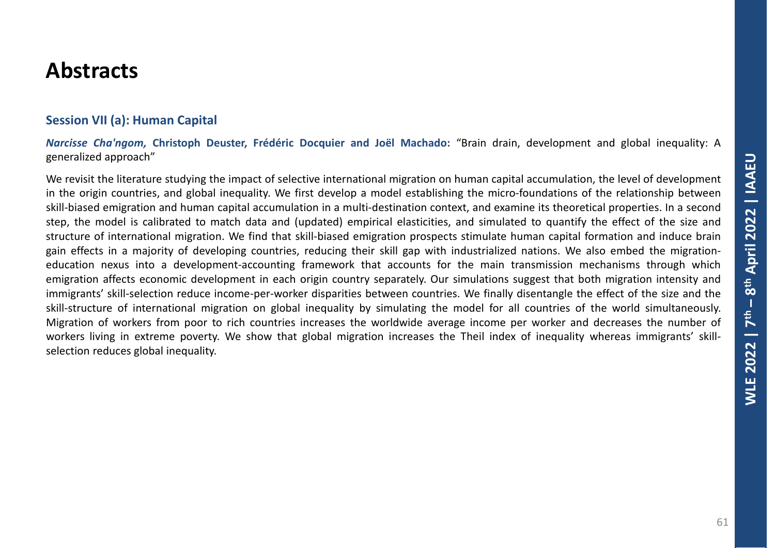#### **Session VII (a): Human Capital**

*Narcisse Cha'ngom,* **Christoph Deuster, Frédéric Docquier and Joël Machado:** "Brain drain, development and global inequality: A generalized approach"

We revisit the literature studying the impact of selective international migration on human capital accumulation, the level of development in the origin countries, and global inequality. We first develop a model establishing the micro-foundations of the relationship between skill-biased emigration and human capital accumulation in a multi-destination context, and examine its theoretical properties. In a second step, the model is calibrated to match data and (updated) empirical elasticities, and simulated to quantify the effect of the size and structure of international migration. We find that skill-biased emigration prospects stimulate human capital formation and induce brain gain effects in a majority of developing countries, reducing their skill gap with industrialized nations. We also embed the migrationeducation nexus into a development-accounting framework that accounts for the main transmission mechanisms through which emigration affects economic development in each origin country separately. Our simulations suggest that both migration intensity and immigrants' skill-selection reduce income-per-worker disparities between countries. We finally disentangle the effect of the size and the skill-structure of international migration on global inequality by simulating the model for all countries of the world simultaneously. Migration of workers from poor to rich countries increases the worldwide average income per worker and decreases the number of workers living in extreme poverty. We show that global migration increases the Theil index of inequality whereas immigrants' skillselection reduces global inequality.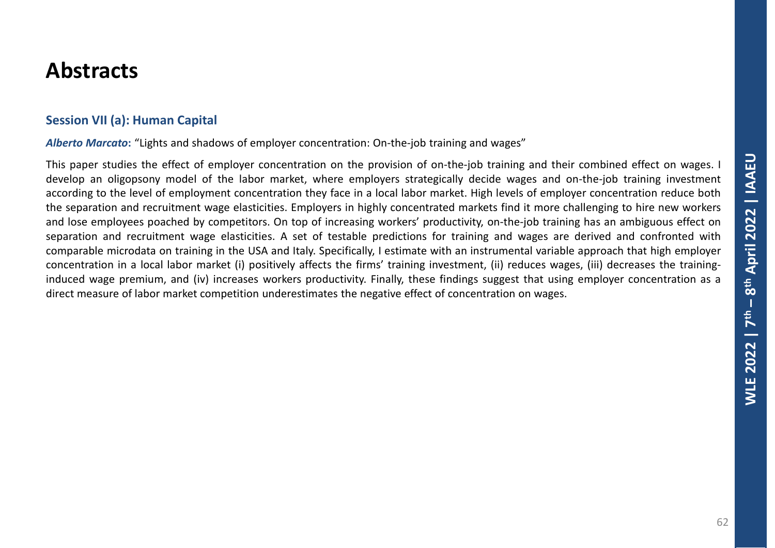#### **Session VII (a): Human Capital**

*Alberto Marcato***:** "Lights and shadows of employer concentration: On-the-job training and wages"

This paper studies the effect of employer concentration on the provision of on-the-job training and their combined effect on wages. I develop an oligopsony model of the labor market, where employers strategically decide wages and on-the-job training investment according to the level of employment concentration they face in a local labor market. High levels of employer concentration reduce both the separation and recruitment wage elasticities. Employers in highly concentrated markets find it more challenging to hire new workers and lose employees poached by competitors. On top of increasing workers' productivity, on-the-job training has an ambiguous effect on separation and recruitment wage elasticities. A set of testable predictions for training and wages are derived and confronted with comparable microdata on training in the USA and Italy. Specifically, I estimate with an instrumental variable approach that high employer concentration in a local labor market (i) positively affects the firms' training investment, (ii) reduces wages, (iii) decreases the traininginduced wage premium, and (iv) increases workers productivity. Finally, these findings suggest that using employer concentration as a direct measure of labor market competition underestimates the negative effect of concentration on wages.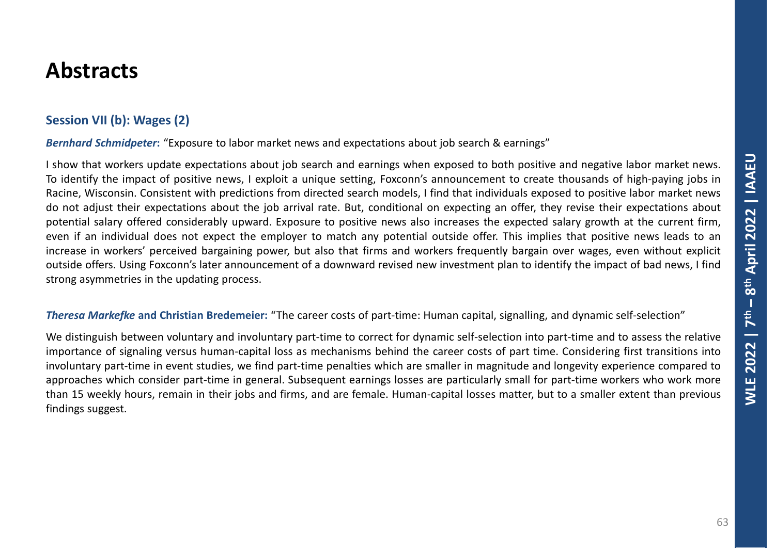### **Session VII (b): Wages (2)**

*Bernhard Schmidpeter***:** "Exposure to labor market news and expectations about job search & earnings"

I show that workers update expectations about job search and earnings when exposed to both positive and negative labor market news. To identify the impact of positive news, I exploit a unique setting, Foxconn's announcement to create thousands of high-paying jobs in Racine, Wisconsin. Consistent with predictions from directed search models, I find that individuals exposed to positive labor market news do not adjust their expectations about the job arrival rate. But, conditional on expecting an offer, they revise their expectations about potential salary offered considerably upward. Exposure to positive news also increases the expected salary growth at the current firm, even if an individual does not expect the employer to match any potential outside offer. This implies that positive news leads to an increase in workers' perceived bargaining power, but also that firms and workers frequently bargain over wages, even without explicit outside offers. Using Foxconn's later announcement of a downward revised new investment plan to identify the impact of bad news, I find strong asymmetries in the updating process.

#### *Theresa Markefke* **and Christian Bredemeier:** "The career costs of part-time: Human capital, signalling, and dynamic self-selection"

We distinguish between voluntary and involuntary part-time to correct for dynamic self-selection into part-time and to assess the relative importance of signaling versus human-capital loss as mechanisms behind the career costs of part time. Considering first transitions into involuntary part-time in event studies, we find part-time penalties which are smaller in magnitude and longevity experience compared to approaches which consider part-time in general. Subsequent earnings losses are particularly small for part-time workers who work more than 15 weekly hours, remain in their jobs and firms, and are female. Human-capital losses matter, but to a smaller extent than previous findings suggest.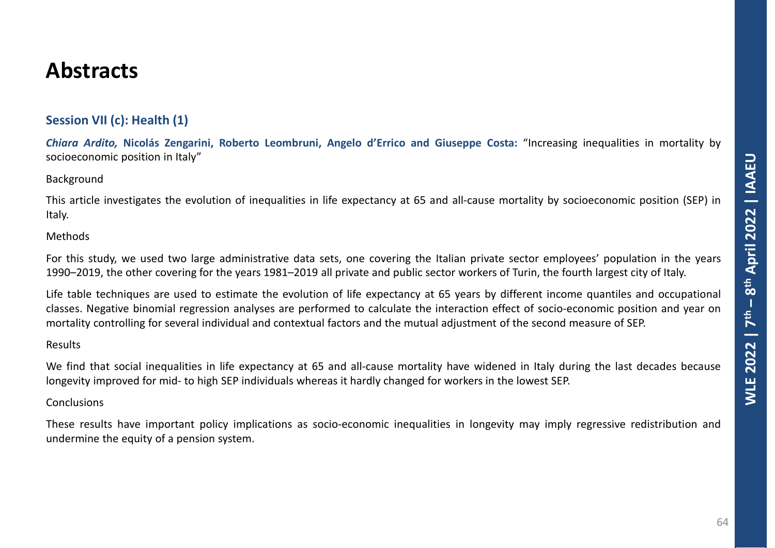### **Session VII (c): Health (1)**

*Chiara Ardito,* **Nicolás Zengarini, Roberto Leombruni, Angelo d'Errico and Giuseppe Costa:** "Increasing inequalities in mortality by socioeconomic position in Italy"

#### Background

This article investigates the evolution of inequalities in life expectancy at 65 and all-cause mortality by socioeconomic position (SEP) in Italy.

#### Methods

For this study, we used two large administrative data sets, one covering the Italian private sector employees' population in the years 1990–2019, the other covering for the years 1981–2019 all private and public sector workers of Turin, the fourth largest city of Italy.

Life table techniques are used to estimate the evolution of life expectancy at 65 years by different income quantiles and occupational classes. Negative binomial regression analyses are performed to calculate the interaction effect of socio-economic position and year on mortality controlling for several individual and contextual factors and the mutual adjustment of the second measure of SEP.

#### Results

We find that social inequalities in life expectancy at 65 and all-cause mortality have widened in Italy during the last decades because longevity improved for mid- to high SEP individuals whereas it hardly changed for workers in the lowest SEP.

#### Conclusions

These results have important policy implications as socio-economic inequalities in longevity may imply regressive redistribution and undermine the equity of a pension system.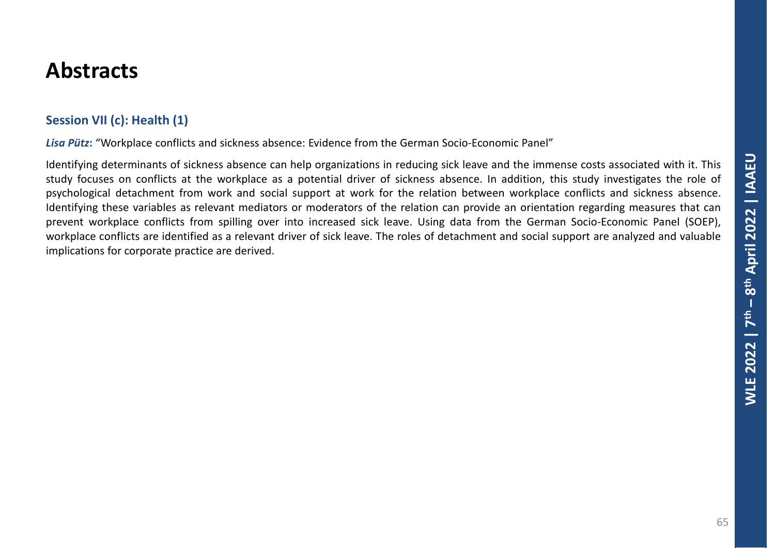### **Session VII (c): Health (1)**

Lisa Pütz: "Workplace conflicts and sickness absence: Evidence from the German Socio-Economic Panel"

Identifying determinants of sickness absence can help organizations in reducing sick leave and the immense costs associated with it. This study focuses on conflicts at the workplace as a potential driver of sickness absence. In addition, this study investigates the role of psychological detachment from work and social support at work for the relation between workplace conflicts and sickness absence. Identifying these variables as relevant mediators or moderators of the relation can provide an orientation regarding measures that can prevent workplace conflicts from spilling over into increased sick leave. Using data from the German Socio-Economic Panel (SOEP), workplace conflicts are identified as a relevant driver of sick leave. The roles of detachment and social support are analyzed and valuable implications for corporate practice are derived.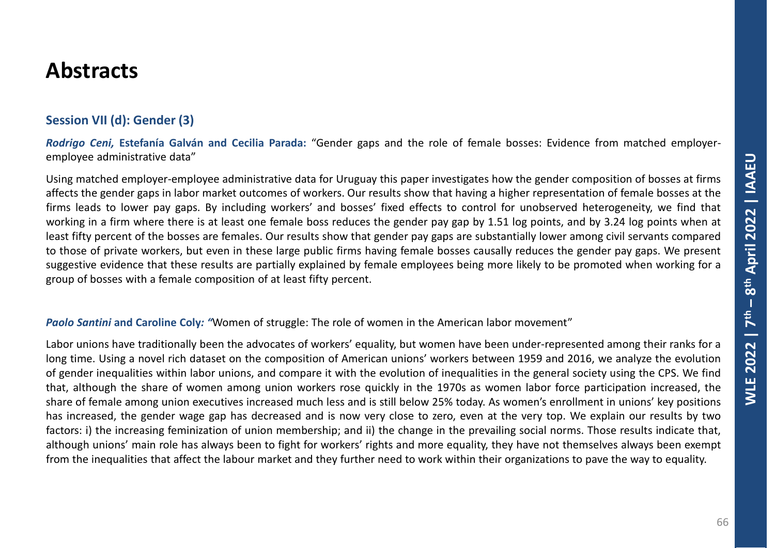### **Session VII (d): Gender (3)**

*Rodrigo Ceni,* **Estefanía Galván and Cecilia Parada:** "Gender gaps and the role of female bosses: Evidence from matched employeremployee administrative data"

Using matched employer-employee administrative data for Uruguay this paper investigates how the gender composition of bosses at firms affects the gender gaps in labor market outcomes of workers. Our results show that having a higher representation of female bosses at the firms leads to lower pay gaps. By including workers' and bosses' fixed effects to control for unobserved heterogeneity, we find that working in a firm where there is at least one female boss reduces the gender pay gap by 1.51 log points, and by 3.24 log points when at least fifty percent of the bosses are females. Our results show that gender pay gaps are substantially lower among civil servants compared to those of private workers, but even in these large public firms having female bosses causally reduces the gender pay gaps. We present suggestive evidence that these results are partially explained by female employees being more likely to be promoted when working for a group of bosses with a female composition of at least fifty percent.

#### *Paolo Santini* **and Caroline Coly***: "*Women of struggle: The role of women in the American labor movement"

Labor unions have traditionally been the advocates of workers' equality, but women have been under-represented among their ranks for a long time. Using a novel rich dataset on the composition of American unions' workers between 1959 and 2016, we analyze the evolution of gender inequalities within labor unions, and compare it with the evolution of inequalities in the general society using the CPS. We find that, although the share of women among union workers rose quickly in the 1970s as women labor force participation increased, the share of female among union executives increased much less and is still below 25% today. As women's enrollment in unions' key positions has increased, the gender wage gap has decreased and is now very close to zero, even at the very top. We explain our results by two factors: i) the increasing feminization of union membership; and ii) the change in the prevailing social norms. Those results indicate that, although unions' main role has always been to fight for workers' rights and more equality, they have not themselves always been exempt from the inequalities that affect the labour market and they further need to work within their organizations to pave the way to equality.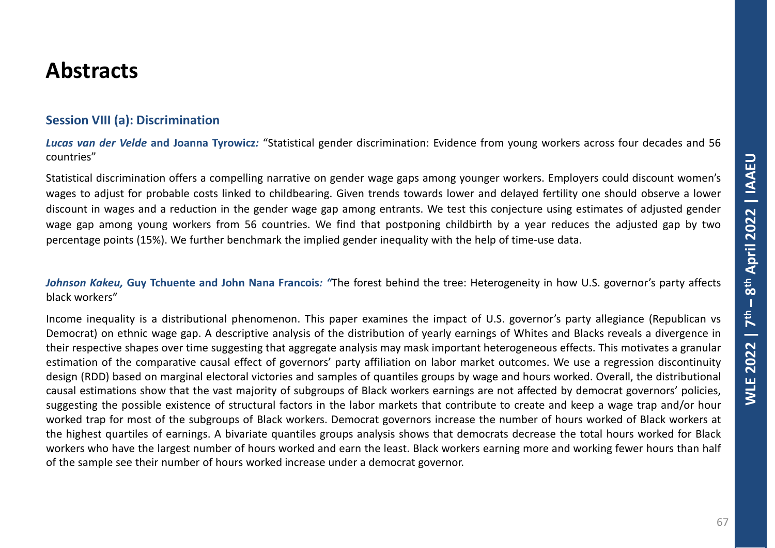#### **Session VIII (a): Discrimination**

*Lucas van der Velde* **and Joanna Tyrowicz***:* "Statistical gender discrimination: Evidence from young workers across four decades and 56 countries"

Statistical discrimination offers a compelling narrative on gender wage gaps among younger workers. Employers could discount women's wages to adjust for probable costs linked to childbearing. Given trends towards lower and delayed fertility one should observe a lower discount in wages and a reduction in the gender wage gap among entrants. We test this conjecture using estimates of adjusted gender wage gap among young workers from 56 countries. We find that postponing childbirth by a year reduces the adjusted gap by two percentage points (15%). We further benchmark the implied gender inequality with the help of time-use data.

*Johnson Kakeu,* **Guy Tchuente and John Nana Francois***: "*The forest behind the tree: Heterogeneity in how U.S. governor's party affects black workers"

Income inequality is a distributional phenomenon. This paper examines the impact of U.S. governor's party allegiance (Republican vs Democrat) on ethnic wage gap. A descriptive analysis of the distribution of yearly earnings of Whites and Blacks reveals a divergence in their respective shapes over time suggesting that aggregate analysis may mask important heterogeneous effects. This motivates a granular estimation of the comparative causal effect of governors' party affiliation on labor market outcomes. We use a regression discontinuity design (RDD) based on marginal electoral victories and samples of quantiles groups by wage and hours worked. Overall, the distributional causal estimations show that the vast majority of subgroups of Black workers earnings are not affected by democrat governors' policies, suggesting the possible existence of structural factors in the labor markets that contribute to create and keep a wage trap and/or hour worked trap for most of the subgroups of Black workers. Democrat governors increase the number of hours worked of Black workers at the highest quartiles of earnings. A bivariate quantiles groups analysis shows that democrats decrease the total hours worked for Black workers who have the largest number of hours worked and earn the least. Black workers earning more and working fewer hours than half of the sample see their number of hours worked increase under a democrat governor.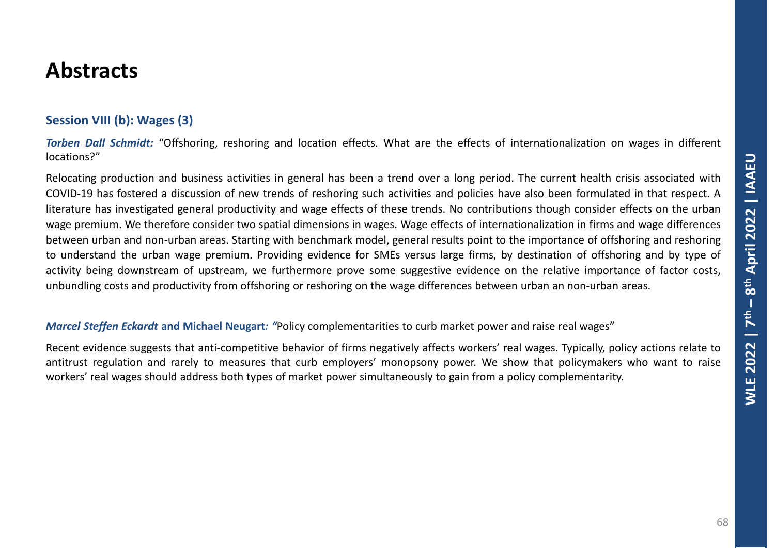### **Session VIII (b): Wages (3)**

*Torben Dall Schmidt:* "Offshoring, reshoring and location effects. What are the effects of internationalization on wages in different locations?"

Relocating production and business activities in general has been a trend over a long period. The current health crisis associated with COVID-19 has fostered a discussion of new trends of reshoring such activities and policies have also been formulated in that respect. A literature has investigated general productivity and wage effects of these trends. No contributions though consider effects on the urban wage premium. We therefore consider two spatial dimensions in wages. Wage effects of internationalization in firms and wage differences between urban and non-urban areas. Starting with benchmark model, general results point to the importance of offshoring and reshoring to understand the urban wage premium. Providing evidence for SMEs versus large firms, by destination of offshoring and by type of activity being downstream of upstream, we furthermore prove some suggestive evidence on the relative importance of factor costs, unbundling costs and productivity from offshoring or reshoring on the wage differences between urban an non-urban areas.

#### *Marcel Steffen Eckardt* **and Michael Neugart***: "*Policy complementarities to curb market power and raise real wages"

Recent evidence suggests that anti-competitive behavior of firms negatively affects workers' real wages. Typically, policy actions relate to antitrust regulation and rarely to measures that curb employers' monopsony power. We show that policymakers who want to raise workers' real wages should address both types of market power simultaneously to gain from a policy complementarity.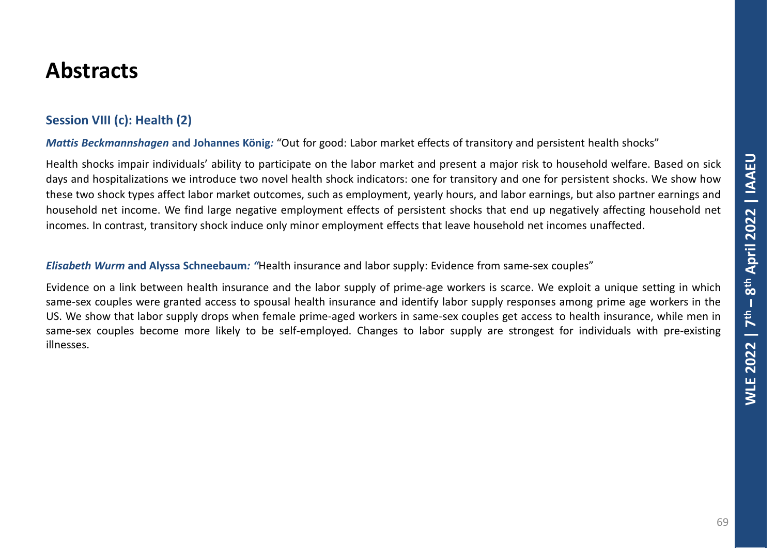### **Session VIII (c): Health (2)**

*Mattis Beckmannshagen* **and Johannes König***:* "Out for good: Labor market effects of transitory and persistent health shocks"

Health shocks impair individuals' ability to participate on the labor market and present a major risk to household welfare. Based on sick days and hospitalizations we introduce two novel health shock indicators: one for transitory and one for persistent shocks. We show how these two shock types affect labor market outcomes, such as employment, yearly hours, and labor earnings, but also partner earnings and household net income. We find large negative employment effects of persistent shocks that end up negatively affecting household net incomes. In contrast, transitory shock induce only minor employment effects that leave household net incomes unaffected.

*Elisabeth Wurm* **and Alyssa Schneebaum***: "*Health insurance and labor supply: Evidence from same-sex couples"

Evidence on a link between health insurance and the labor supply of prime-age workers is scarce. We exploit a unique setting in which same-sex couples were granted access to spousal health insurance and identify labor supply responses among prime age workers in the US. We show that labor supply drops when female prime-aged workers in same-sex couples get access to health insurance, while men in same-sex couples become more likely to be self-employed. Changes to labor supply are strongest for individuals with pre-existing illnesses.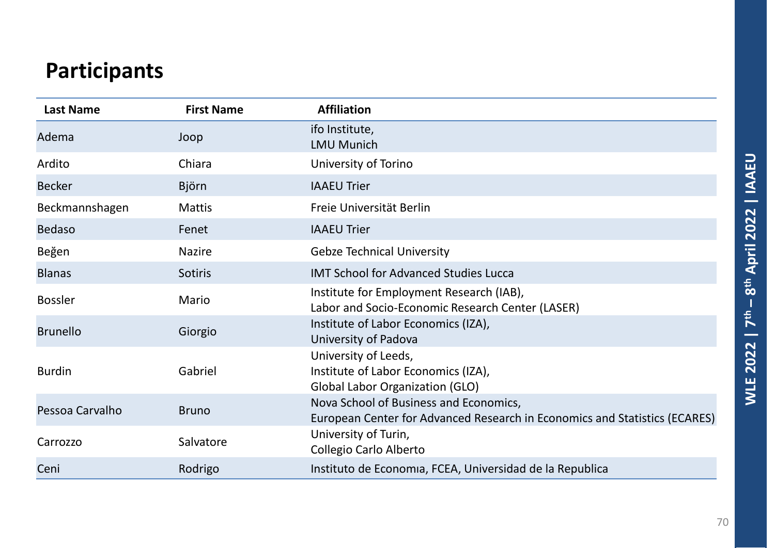# **Participants**

| <b>Last Name</b> | <b>First Name</b> | <b>Affiliation</b>                                                                                                   |
|------------------|-------------------|----------------------------------------------------------------------------------------------------------------------|
| Adema            | Joop              | ifo Institute,<br><b>LMU Munich</b>                                                                                  |
| Ardito           | Chiara            | University of Torino                                                                                                 |
| <b>Becker</b>    | <b>Björn</b>      | <b>IAAEU Trier</b>                                                                                                   |
| Beckmannshagen   | <b>Mattis</b>     | Freie Universität Berlin                                                                                             |
| <b>Bedaso</b>    | Fenet             | <b>IAAEU Trier</b>                                                                                                   |
| Beğen            | <b>Nazire</b>     | <b>Gebze Technical University</b>                                                                                    |
| <b>Blanas</b>    | Sotiris           | <b>IMT School for Advanced Studies Lucca</b>                                                                         |
| <b>Bossler</b>   | Mario             | Institute for Employment Research (IAB),<br>Labor and Socio-Economic Research Center (LASER)                         |
| <b>Brunello</b>  | Giorgio           | Institute of Labor Economics (IZA),<br>University of Padova                                                          |
| <b>Burdin</b>    | Gabriel           | University of Leeds,<br>Institute of Labor Economics (IZA),<br><b>Global Labor Organization (GLO)</b>                |
| Pessoa Carvalho  | <b>Bruno</b>      | Nova School of Business and Economics,<br>European Center for Advanced Research in Economics and Statistics (ECARES) |
| Carrozzo         | Salvatore         | University of Turin,<br>Collegio Carlo Alberto                                                                       |
| Ceni             | Rodrigo           | Instituto de Economia, FCEA, Universidad de la Republica                                                             |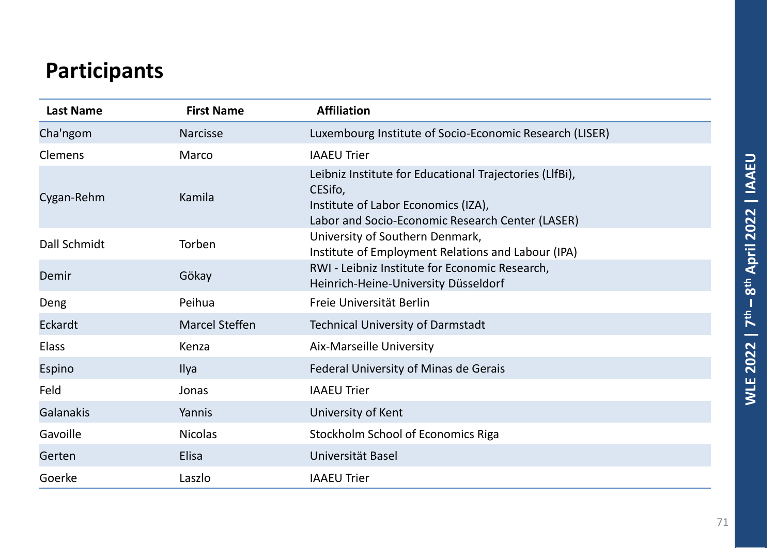# **Participants**

| <b>Last Name</b> | <b>First Name</b>     | <b>Affiliation</b>                                                                                                                                            |
|------------------|-----------------------|---------------------------------------------------------------------------------------------------------------------------------------------------------------|
| Cha'ngom         | <b>Narcisse</b>       | Luxembourg Institute of Socio-Economic Research (LISER)                                                                                                       |
| <b>Clemens</b>   | Marco                 | <b>IAAEU Trier</b>                                                                                                                                            |
| Cygan-Rehm       | Kamila                | Leibniz Institute for Educational Trajectories (LIfBi),<br>CESifo,<br>Institute of Labor Economics (IZA),<br>Labor and Socio-Economic Research Center (LASER) |
| Dall Schmidt     | Torben                | University of Southern Denmark,<br>Institute of Employment Relations and Labour (IPA)                                                                         |
| Demir            | Gökay                 | RWI - Leibniz Institute for Economic Research,<br>Heinrich-Heine-University Düsseldorf                                                                        |
| Deng             | Peihua                | Freie Universität Berlin                                                                                                                                      |
| Eckardt          | <b>Marcel Steffen</b> | <b>Technical University of Darmstadt</b>                                                                                                                      |
| <b>Elass</b>     | Kenza                 | Aix-Marseille University                                                                                                                                      |
| Espino           | Ilya                  | Federal University of Minas de Gerais                                                                                                                         |
| Feld             | Jonas                 | <b>IAAEU Trier</b>                                                                                                                                            |
| Galanakis        | Yannis                | University of Kent                                                                                                                                            |
| Gavoille         | <b>Nicolas</b>        | <b>Stockholm School of Economics Riga</b>                                                                                                                     |
| Gerten           | <b>Elisa</b>          | Universität Basel                                                                                                                                             |
| Goerke           | Laszlo                | <b>IAAEU Trier</b>                                                                                                                                            |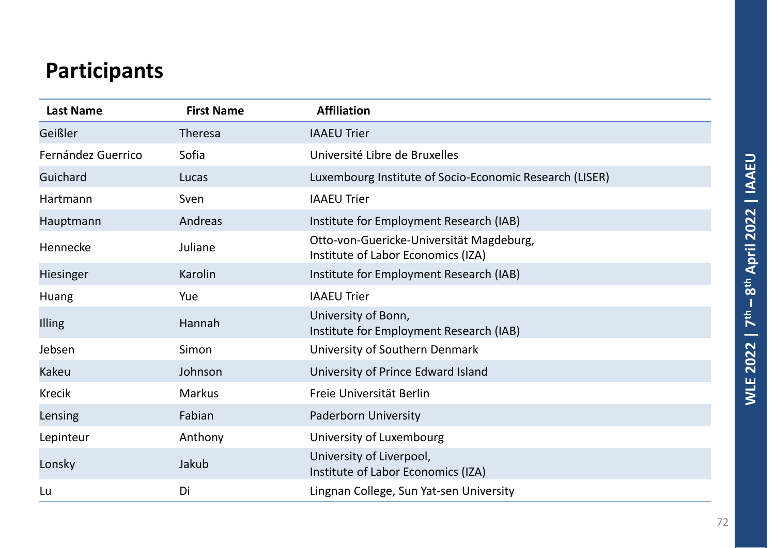# **Participants**

| <b>Last Name</b>   | <b>First Name</b> | <b>Affiliation</b>                                                             |
|--------------------|-------------------|--------------------------------------------------------------------------------|
| Geißler            | <b>Theresa</b>    | <b>IAAEU Trier</b>                                                             |
| Fernández Guerrico | Sofia             | Université Libre de Bruxelles                                                  |
| Guichard           | Lucas             | Luxembourg Institute of Socio-Economic Research (LISER)                        |
| Hartmann           | Sven              | <b>IAAEU Trier</b>                                                             |
| Hauptmann          | Andreas           | Institute for Employment Research (IAB)                                        |
| Hennecke           | Juliane           | Otto-von-Guericke-Universität Magdeburg,<br>Institute of Labor Economics (IZA) |
| Hiesinger          | Karolin           | Institute for Employment Research (IAB)                                        |
| Huang              | Yue               | <b>IAAEU Trier</b>                                                             |
| Illing             | Hannah            | University of Bonn,<br>Institute for Employment Research (IAB)                 |
| Jebsen             | Simon             | University of Southern Denmark                                                 |
| Kakeu              | Johnson           | University of Prince Edward Island                                             |
| <b>Krecik</b>      | <b>Markus</b>     | Freie Universität Berlin                                                       |
| Lensing            | Fabian            | <b>Paderborn University</b>                                                    |
| Lepinteur          | Anthony           | University of Luxembourg                                                       |
| Lonsky             | Jakub             | University of Liverpool,<br>Institute of Labor Economics (IZA)                 |
| Lu                 | Di                | Lingnan College, Sun Yat-sen University                                        |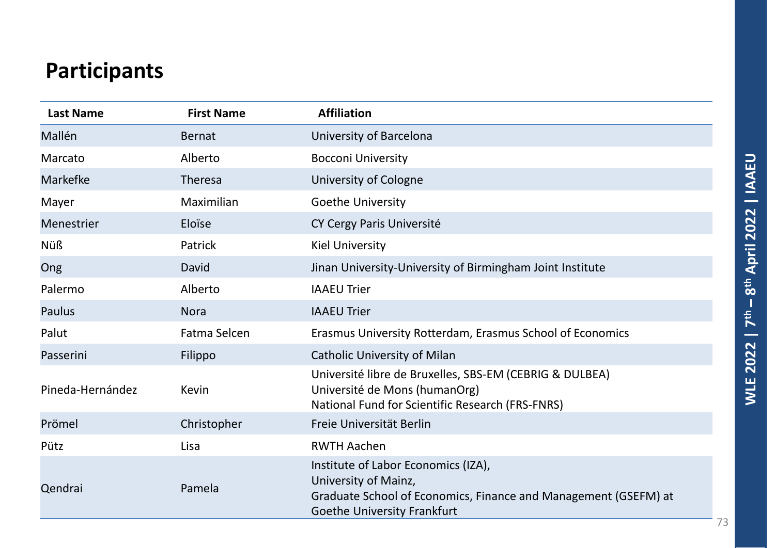## **Participants**

| <b>Last Name</b> | <b>First Name</b> | <b>Affiliation</b>                                                                                                                                                   |
|------------------|-------------------|----------------------------------------------------------------------------------------------------------------------------------------------------------------------|
| Mallén           | <b>Bernat</b>     | University of Barcelona                                                                                                                                              |
| Marcato          | Alberto           | <b>Bocconi University</b>                                                                                                                                            |
| Markefke         | Theresa           | University of Cologne                                                                                                                                                |
| Mayer            | Maximilian        | <b>Goethe University</b>                                                                                                                                             |
| Menestrier       | Eloïse            | CY Cergy Paris Université                                                                                                                                            |
| <b>Nüß</b>       | Patrick           | <b>Kiel University</b>                                                                                                                                               |
| Ong              | David             | Jinan University-University of Birmingham Joint Institute                                                                                                            |
| Palermo          | Alberto           | <b>IAAEU Trier</b>                                                                                                                                                   |
| <b>Paulus</b>    | <b>Nora</b>       | <b>IAAEU Trier</b>                                                                                                                                                   |
| Palut            | Fatma Selcen      | Erasmus University Rotterdam, Erasmus School of Economics                                                                                                            |
| Passerini        | Filippo           | <b>Catholic University of Milan</b>                                                                                                                                  |
| Pineda-Hernández | <b>Kevin</b>      | Université libre de Bruxelles, SBS-EM (CEBRIG & DULBEA)<br>Université de Mons (humanOrg)<br>National Fund for Scientific Research (FRS-FNRS)                         |
| Prömel           | Christopher       | Freie Universität Berlin                                                                                                                                             |
| Pütz             | Lisa              | <b>RWTH Aachen</b>                                                                                                                                                   |
| Qendrai          | Pamela            | Institute of Labor Economics (IZA),<br>University of Mainz,<br>Graduate School of Economics, Finance and Management (GSEFM) at<br><b>Goethe University Frankfurt</b> |

T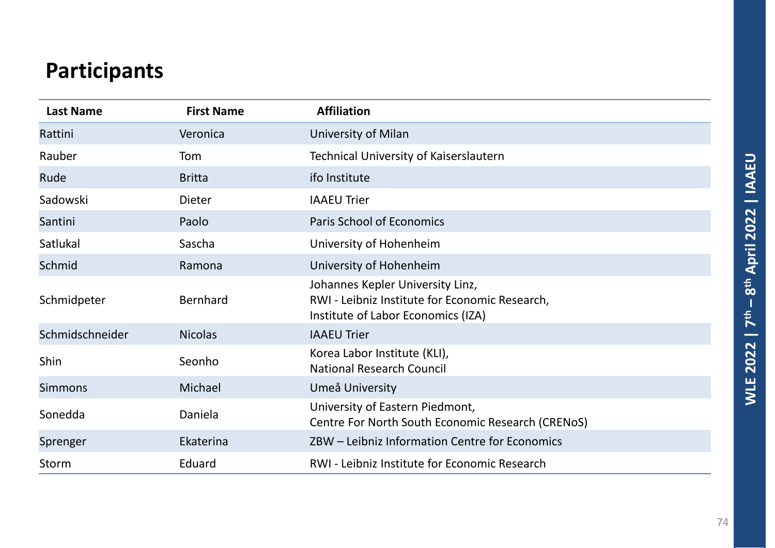## **Participants**

| <b>Last Name</b> | <b>First Name</b> | <b>Affiliation</b>                                                                                                       |
|------------------|-------------------|--------------------------------------------------------------------------------------------------------------------------|
| Rattini          | Veronica          | University of Milan                                                                                                      |
| Rauber           | Tom               | Technical University of Kaiserslautern                                                                                   |
| Rude             | <b>Britta</b>     | ifo Institute                                                                                                            |
| Sadowski         | <b>Dieter</b>     | <b>IAAEU Trier</b>                                                                                                       |
| Santini          | Paolo             | <b>Paris School of Economics</b>                                                                                         |
| Satlukal         | Sascha            | University of Hohenheim                                                                                                  |
| Schmid           | Ramona            | University of Hohenheim                                                                                                  |
| Schmidpeter      | <b>Bernhard</b>   | Johannes Kepler University Linz,<br>RWI - Leibniz Institute for Economic Research,<br>Institute of Labor Economics (IZA) |
| Schmidschneider  | <b>Nicolas</b>    | <b>IAAEU Trier</b>                                                                                                       |
| Shin             | Seonho            | Korea Labor Institute (KLI),<br><b>National Research Council</b>                                                         |
| <b>Simmons</b>   | Michael           | Umeå University                                                                                                          |
| Sonedda          | Daniela           | University of Eastern Piedmont,<br>Centre For North South Economic Research (CRENoS)                                     |
| Sprenger         | Ekaterina         | ZBW - Leibniz Information Centre for Economics                                                                           |
| Storm            | Eduard            | RWI - Leibniz Institute for Economic Research                                                                            |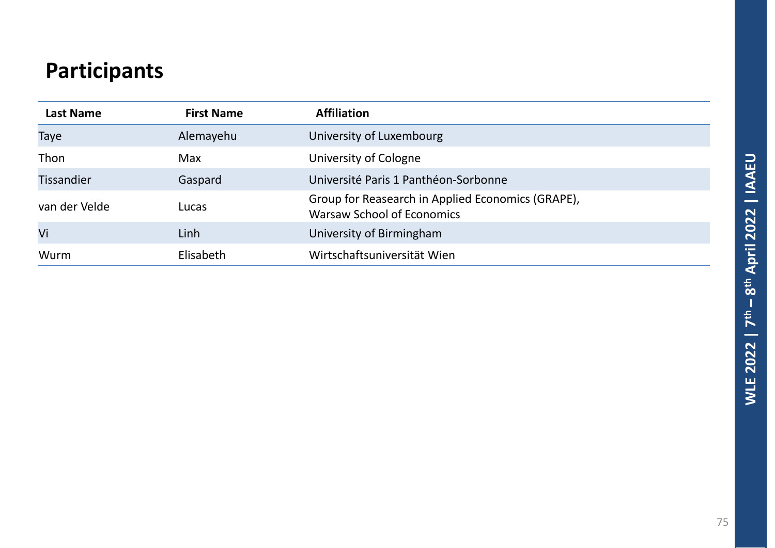## **Participants**

| <b>Last Name</b>  | <b>First Name</b> | <b>Affiliation</b>                                                                     |
|-------------------|-------------------|----------------------------------------------------------------------------------------|
| Taye              | Alemayehu         | University of Luxembourg                                                               |
| Thon              | <b>Max</b>        | University of Cologne                                                                  |
| <b>Tissandier</b> | Gaspard           | Université Paris 1 Panthéon-Sorbonne                                                   |
| van der Velde     | Lucas             | Group for Reasearch in Applied Economics (GRAPE),<br><b>Warsaw School of Economics</b> |
| Vi                | Linh              | University of Birmingham                                                               |
| Wurm              | Elisabeth         | Wirtschaftsuniversität Wien                                                            |